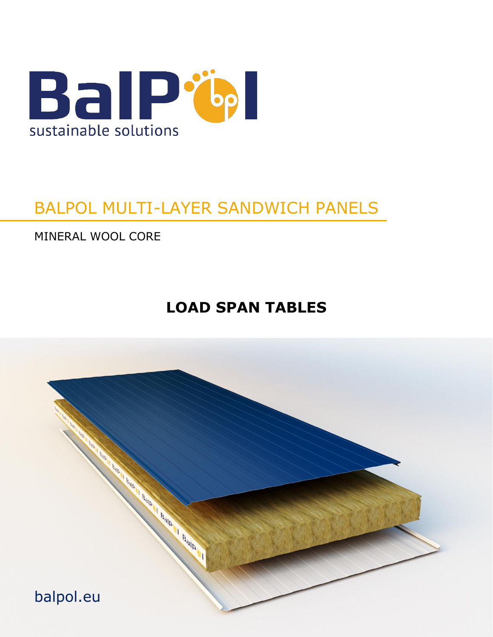

# BALPOL MULTI-LAYER SANDWICH PANELS

MINERAL WOOL CORE

# **LOAD SPAN TABLES**

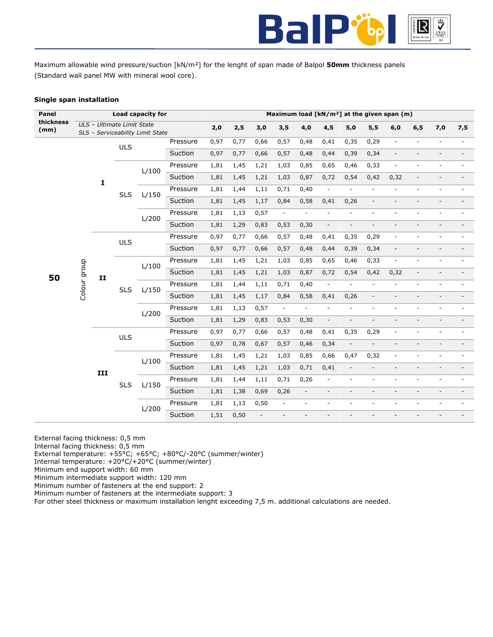

Maximum allowable wind pressure/suction [kN/m²] for the lenght of span made of Balpol **50mm** thickness panels (Standard wall panel MW with mineral wool core).

# **Single span installation**

| Panel             |                               |             |                            | Load capacity for                |          |      |      |      |                          |                          |                          |                          | Maximum load [kN/m <sup>2</sup> ] at the given span (m) |                              |                          |                          |                          |
|-------------------|-------------------------------|-------------|----------------------------|----------------------------------|----------|------|------|------|--------------------------|--------------------------|--------------------------|--------------------------|---------------------------------------------------------|------------------------------|--------------------------|--------------------------|--------------------------|
| thickness<br>(mm) |                               |             | ULS - Ultimate Limit State | SLS - Serviceability Limit State |          | 2,0  | 2,5  | 3,0  | 3,5                      | 4,0                      | 4,5                      | $5,0$                    | 5,5                                                     | 6,0                          | 6, 5                     | 7,0                      | 7,5                      |
|                   |                               |             | <b>ULS</b>                 |                                  | Pressure | 0,97 | 0,77 | 0,66 | 0,57                     | 0,48                     | 0,41                     | 0,35                     | 0,29                                                    | $\Box$                       | $\overline{\phantom{a}}$ | $\overline{\phantom{a}}$ |                          |
|                   |                               |             |                            |                                  | Suction  | 0,97 | 0,77 | 0,66 | 0,57                     | 0,48                     | 0,44                     | 0,39                     | 0,34                                                    | $\overline{\phantom{a}}$     |                          | $\overline{a}$           | $\overline{\phantom{0}}$ |
|                   |                               |             |                            | L/100                            | Pressure | 1,81 | 1,45 | 1,21 | 1,03                     | 0,85                     | 0,65                     | 0,46                     | 0,33                                                    | ÷                            |                          |                          |                          |
|                   |                               | $\mathbf I$ |                            |                                  | Suction  | 1,81 | 1,45 | 1,21 | 1,03                     | 0,87                     | 0,72                     | 0,54                     | 0,42                                                    | 0,32                         | $\overline{\phantom{a}}$ | $\overline{a}$           |                          |
|                   |                               |             | <b>SLS</b>                 | L/150                            | Pressure | 1,81 | 1,44 | 1,11 | 0,71                     | 0,40                     | $\blacksquare$           | $\overline{\phantom{a}}$ | $\overline{\phantom{a}}$                                | $\overline{\phantom{a}}$     | $\overline{\phantom{a}}$ | ÷,                       |                          |
|                   |                               |             |                            |                                  | Suction  | 1,81 | 1,45 | 1,17 | 0,84                     | 0,58                     | 0,41                     | 0,26                     | $\overline{\phantom{a}}$                                | $\overline{\phantom{a}}$     |                          |                          |                          |
|                   |                               |             |                            | L/200                            | Pressure | 1,81 | 1,13 | 0,57 | $\overline{\phantom{a}}$ | $\overline{\phantom{a}}$ | $\blacksquare$           | $\overline{\phantom{a}}$ | $\overline{\phantom{a}}$                                | $\overline{\phantom{a}}$     | $\overline{\phantom{a}}$ | ÷,                       |                          |
|                   |                               |             |                            |                                  | Suction  | 1,81 | 1,29 | 0,83 | 0,53                     | 0, 30                    | $\Box$                   | $\overline{\phantom{a}}$ | $\overline{\phantom{a}}$                                | $\overline{\phantom{a}}$     | $\overline{a}$           | $\overline{a}$           |                          |
|                   |                               |             | <b>ULS</b>                 |                                  | Pressure | 0,97 | 0,77 | 0,66 | 0,57                     | 0,48                     | 0,41                     | 0,35                     | 0,29                                                    | $\overline{\phantom{a}}$     | $\overline{a}$           | $\overline{a}$           |                          |
|                   |                               |             |                            |                                  | Suction  | 0,97 | 0,77 | 0,66 | 0,57                     | 0,48                     | 0,44                     | 0,39                     | 0,34                                                    | $\overline{\phantom{a}}$     | $\overline{\phantom{a}}$ | $\overline{\phantom{m}}$ |                          |
|                   |                               |             |                            | L/100                            | Pressure | 1,81 | 1,45 | 1,21 | 1,03                     | 0,85                     | 0,65                     | 0,46                     | 0,33                                                    | $\overline{\phantom{a}}$     | $\overline{\phantom{a}}$ | $\overline{\phantom{a}}$ |                          |
| 50                | Colour group<br>$\mathbf{II}$ |             |                            |                                  | Suction  | 1,81 | 1,45 | 1,21 | 1,03                     | 0,87                     | 0,72                     | 0,54                     | 0,42                                                    | 0,32                         |                          |                          |                          |
|                   |                               |             | <b>SLS</b>                 | L/150                            | Pressure | 1,81 | 1,44 | 1,11 | 0,71                     | 0,40                     | $\overline{\phantom{a}}$ | $\overline{\phantom{a}}$ | $\overline{\phantom{a}}$                                | $\overline{\phantom{a}}$     |                          |                          |                          |
|                   |                               |             |                            |                                  | Suction  | 1,81 | 1,45 | 1,17 | 0,84                     | 0,58                     | 0,41                     | 0,26                     | $\overline{\phantom{a}}$                                | $\qquad \qquad \blacksquare$ |                          |                          |                          |
|                   |                               |             |                            | L/200                            | Pressure | 1,81 | 1,13 | 0,57 | $\Box$                   | $\overline{\phantom{a}}$ | $\overline{\phantom{a}}$ | $\overline{\phantom{a}}$ | $\overline{\phantom{a}}$                                | ä,                           | $\overline{\phantom{a}}$ | $\overline{\phantom{a}}$ |                          |
|                   |                               |             |                            |                                  | Suction  | 1,81 | 1,29 | 0,83 | 0,53                     | 0,30                     | $\overline{\phantom{a}}$ | $\overline{\phantom{a}}$ | $\overline{\phantom{a}}$                                | $\overline{\phantom{a}}$     | $\overline{\phantom{a}}$ | $\overline{\phantom{a}}$ |                          |
|                   |                               |             | <b>ULS</b>                 |                                  | Pressure | 0,97 | 0,77 | 0,66 | 0,57                     | 0,48                     | 0,41                     | 0,35                     | 0,29                                                    | $\overline{\phantom{a}}$     | $\overline{a}$           | ÷,                       |                          |
|                   |                               |             |                            |                                  | Suction  | 0,97 | 0,78 | 0,67 | 0,57                     | 0,46                     | 0,34                     | $\overline{\phantom{a}}$ | $\overline{\phantom{a}}$                                | $\overline{\phantom{a}}$     |                          |                          |                          |
|                   |                               |             |                            | L/100                            | Pressure | 1,81 | 1,45 | 1,21 | 1,03                     | 0,85                     | 0,66                     | 0,47                     | 0,32                                                    | $\overline{\phantom{a}}$     |                          |                          |                          |
|                   |                               | III         |                            |                                  | Suction  | 1,81 | 1,45 | 1,21 | 1,03                     | 0,71                     | 0,41                     | $\overline{\phantom{a}}$ | $\overline{\phantom{a}}$                                | $\overline{\phantom{a}}$     |                          |                          |                          |
|                   |                               |             | <b>SLS</b>                 | L/150                            | Pressure | 1,81 | 1,44 | 1,11 | 0,71                     | 0,26                     | $\overline{\phantom{a}}$ | $\overline{\phantom{a}}$ | $\overline{\phantom{a}}$                                | $\overline{\phantom{a}}$     |                          | $\overline{a}$           | $\overline{a}$           |
|                   |                               |             |                            |                                  | Suction  | 1,81 | 1,38 | 0,69 | 0,26                     | $\overline{\phantom{a}}$ | $\overline{\phantom{a}}$ | $\overline{\phantom{a}}$ | $\overline{\phantom{a}}$                                | $\overline{\phantom{a}}$     | $\overline{\phantom{a}}$ | $\overline{\phantom{a}}$ | $\overline{\phantom{a}}$ |
|                   |                               |             |                            | L/200                            | Pressure | 1,81 | 1,13 | 0,50 | $\blacksquare$           | $\overline{\phantom{a}}$ | $\overline{\phantom{a}}$ | $\overline{\phantom{a}}$ | $\overline{\phantom{a}}$                                | $\overline{\phantom{a}}$     |                          | $\overline{a}$           |                          |
|                   |                               |             |                            |                                  | Suction  | 1,51 | 0,50 |      |                          |                          |                          |                          |                                                         |                              |                          |                          |                          |

External facing thickness: 0,5 mm

- Internal facing thickness: 0,5 mm
- External temperature: +55°C; +65°C; +80°C/-20°C (summer/winter)
- Internal temperature: +20°C/+20°C (summer/winter)

Minimum end support width: 60 mm

Minimum intermediate support width: 120 mm

Minimum number of fasteners at the end support: 2

Minimum number of fasteners at the intermediate support: 3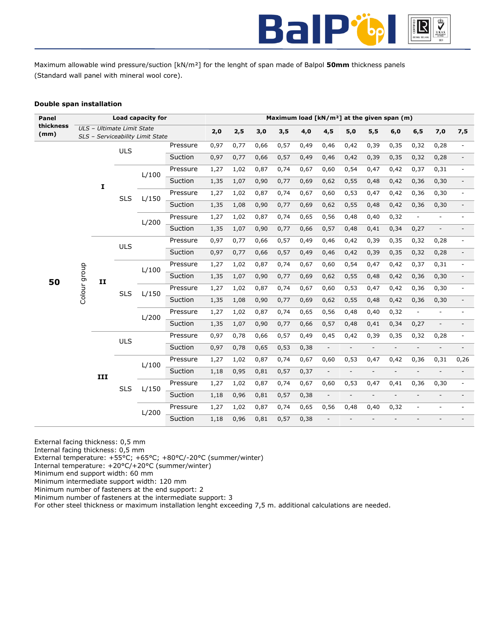

Maximum allowable wind pressure/suction [kN/m²] for the lenght of span made of Balpol **50mm** thickness panels (Standard wall panel with mineral wool core).

# **Double span installation**

| Panel             |                                    |              |                            | Load capacity for                |          |      |      |      |      |      |                          |                          |                          | Maximum load [kN/m <sup>2</sup> ] at the given span (m) |                          |                          |                          |
|-------------------|------------------------------------|--------------|----------------------------|----------------------------------|----------|------|------|------|------|------|--------------------------|--------------------------|--------------------------|---------------------------------------------------------|--------------------------|--------------------------|--------------------------|
| thickness<br>(mm) |                                    |              | ULS - Ultimate Limit State | SLS - Serviceability Limit State |          | 2,0  | 2,5  | 3,0  | 3,5  | 4,0  | 4,5                      | 5,0                      | 5,5                      | 6,0                                                     | 6, 5                     | 7,0                      | 7,5                      |
|                   |                                    |              |                            |                                  | Pressure | 0,97 | 0,77 | 0,66 | 0,57 | 0,49 | 0,46                     | 0,42                     | 0,39                     | 0,35                                                    | 0,32                     | 0,28                     |                          |
|                   |                                    |              | <b>ULS</b>                 |                                  | Suction  | 0,97 | 0,77 | 0,66 | 0,57 | 0,49 | 0,46                     | 0,42                     | 0,39                     | 0,35                                                    | 0,32                     | 0,28                     | $\overline{\phantom{a}}$ |
|                   |                                    |              |                            | L/100                            | Pressure | 1,27 | 1,02 | 0,87 | 0,74 | 0,67 | 0,60                     | 0,54                     | 0,47                     | 0,42                                                    | 0,37                     | 0,31                     |                          |
|                   |                                    | $\mathbf{I}$ |                            |                                  | Suction  | 1,35 | 1,07 | 0,90 | 0,77 | 0,69 | 0,62                     | 0,55                     | 0,48                     | 0,42                                                    | 0,36                     | 0,30                     |                          |
|                   |                                    |              | <b>SLS</b>                 | L/150                            | Pressure | 1,27 | 1,02 | 0,87 | 0,74 | 0,67 | 0,60                     | 0,53                     | 0,47                     | 0,42                                                    | 0,36                     | 0,30                     |                          |
|                   |                                    |              |                            |                                  | Suction  | 1,35 | 1,08 | 0,90 | 0,77 | 0,69 | 0,62                     | 0,55                     | 0,48                     | 0,42                                                    | 0,36                     | 0,30                     |                          |
|                   |                                    |              |                            | L/200                            | Pressure | 1,27 | 1,02 | 0,87 | 0,74 | 0,65 | 0,56                     | 0,48                     | 0,40                     | 0,32                                                    |                          | $\overline{\phantom{a}}$ |                          |
|                   |                                    |              |                            |                                  | Suction  | 1,35 | 1,07 | 0,90 | 0,77 | 0,66 | 0,57                     | 0,48                     | 0,41                     | 0,34                                                    | 0,27                     | $\overline{a}$           |                          |
|                   |                                    |              | <b>ULS</b>                 |                                  | Pressure | 0,97 | 0,77 | 0,66 | 0,57 | 0,49 | 0,46                     | 0,42                     | 0,39                     | 0,35                                                    | 0,32                     | 0,28                     |                          |
|                   | Colour group<br>50<br>$\mathbf{I}$ |              |                            | Suction                          | 0,97     | 0,77 | 0,66 | 0,57 | 0,49 | 0,46 | 0,42                     | 0,39                     | 0,35                     | 0,32                                                    | 0,28                     |                          |                          |
|                   |                                    |              |                            | L/100                            | Pressure | 1,27 | 1,02 | 0,87 | 0,74 | 0,67 | 0,60                     | 0,54                     | 0,47                     | 0,42                                                    | 0,37                     | 0,31                     |                          |
|                   |                                    |              |                            |                                  | Suction  | 1,35 | 1,07 | 0,90 | 0,77 | 0,69 | 0,62                     | 0,55                     | 0,48                     | 0,42                                                    | 0,36                     | 0,30                     |                          |
|                   |                                    |              | <b>SLS</b>                 | L/150                            | Pressure | 1,27 | 1,02 | 0,87 | 0,74 | 0,67 | 0,60                     | 0,53                     | 0,47                     | 0,42                                                    | 0,36                     | 0,30                     |                          |
|                   |                                    |              |                            |                                  | Suction  | 1,35 | 1,08 | 0,90 | 0,77 | 0,69 | 0,62                     | 0,55                     | 0,48                     | 0,42                                                    | 0,36                     | 0,30                     |                          |
|                   |                                    |              |                            | L/200                            | Pressure | 1,27 | 1,02 | 0,87 | 0,74 | 0,65 | 0,56                     | 0,48                     | 0,40                     | 0,32                                                    | $\overline{\phantom{a}}$ |                          |                          |
|                   |                                    |              |                            |                                  | Suction  | 1,35 | 1,07 | 0,90 | 0,77 | 0,66 | 0,57                     | 0,48                     | 0,41                     | 0,34                                                    | 0,27                     | $\overline{a}$           |                          |
|                   |                                    |              | <b>ULS</b>                 |                                  | Pressure | 0,97 | 0,78 | 0,66 | 0,57 | 0,49 | 0,45                     | 0,42                     | 0,39                     | 0,35                                                    | 0,32                     | 0,28                     |                          |
|                   |                                    |              |                            |                                  | Suction  | 0,97 | 0,78 | 0,65 | 0,53 | 0,38 | $\blacksquare$           | $\overline{\phantom{a}}$ | $\overline{\phantom{a}}$ | $\overline{\phantom{a}}$                                |                          |                          |                          |
|                   |                                    |              |                            | L/100                            | Pressure | 1,27 | 1,02 | 0,87 | 0,74 | 0,67 | 0,60                     | 0,53                     | 0,47                     | 0,42                                                    | 0,36                     | 0,31                     | 0,26                     |
|                   |                                    | III          |                            |                                  | Suction  | 1,18 | 0,95 | 0,81 | 0,57 | 0,37 | $\overline{\phantom{a}}$ | $\overline{\phantom{a}}$ | $\overline{\phantom{a}}$ | $\blacksquare$                                          | $\overline{a}$           | $\overline{a}$           |                          |
|                   |                                    |              | <b>SLS</b>                 | L/150                            | Pressure | 1,27 | 1,02 | 0,87 | 0,74 | 0,67 | 0,60                     | 0,53                     | 0,47                     | 0,41                                                    | 0,36                     | 0,30                     |                          |
|                   |                                    |              |                            |                                  | Suction  | 1,18 | 0,96 | 0,81 | 0,57 | 0,38 | $\Box$                   | $\overline{\phantom{a}}$ | $\overline{\phantom{a}}$ | $\overline{a}$                                          | $\mathcal{L}$            | L,                       |                          |
|                   |                                    |              |                            | L/200                            | Pressure | 1,27 | 1,02 | 0,87 | 0,74 | 0,65 | 0,56                     | 0,48                     | 0,40                     | 0,32                                                    | $\overline{\phantom{a}}$ | ä,                       |                          |
|                   |                                    |              |                            |                                  | Suction  | 1,18 | 0,96 | 0,81 | 0,57 | 0,38 | $\overline{a}$           |                          |                          |                                                         |                          |                          |                          |

External facing thickness: 0,5 mm

Internal facing thickness: 0,5 mm

External temperature: +55°C; +65°C; +80°C/-20°C (summer/winter)

Internal temperature: +20°C/+20°C (summer/winter)

Minimum end support width: 60 mm

Minimum intermediate support width: 120 mm

Minimum number of fasteners at the end support: 2 Minimum number of fasteners at the intermediate support: 3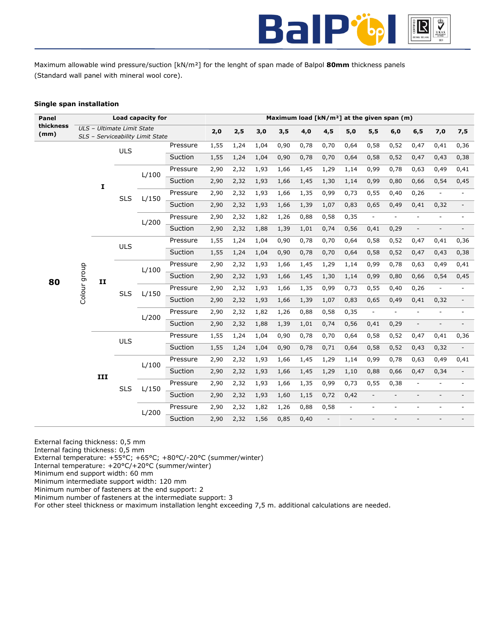

Maximum allowable wind pressure/suction [kN/m²] for the lenght of span made of Balpol **80mm** thickness panels (Standard wall panel with mineral wool core).

# **Single span installation**

| Panel             |                    |     |                            | Load capacity for                |          |      |      |      |      |      |      |                |                          | Maximum load [kN/m <sup>2</sup> ] at the given span (m) |                          |                          |                          |
|-------------------|--------------------|-----|----------------------------|----------------------------------|----------|------|------|------|------|------|------|----------------|--------------------------|---------------------------------------------------------|--------------------------|--------------------------|--------------------------|
| thickness<br>(mm) |                    |     | ULS - Ultimate Limit State | SLS - Serviceability Limit State |          | 2,0  | 2,5  | 3,0  | 3,5  | 4,0  | 4,5  | 5,0            | 5,5                      | 6,0                                                     | 6, 5                     | 7,0                      | 7,5                      |
|                   |                    |     |                            |                                  | Pressure | 1,55 | 1,24 | 1,04 | 0,90 | 0,78 | 0,70 | 0,64           | 0,58                     | 0,52                                                    | 0,47                     | 0,41                     | 0,36                     |
|                   |                    |     | <b>ULS</b>                 |                                  | Suction  | 1,55 | 1,24 | 1,04 | 0,90 | 0,78 | 0,70 | 0,64           | 0,58                     | 0,52                                                    | 0,47                     | 0,43                     | 0,38                     |
|                   |                    |     |                            |                                  | Pressure | 2,90 | 2,32 | 1,93 | 1,66 | 1,45 | 1,29 | 1,14           | 0,99                     | 0,78                                                    | 0,63                     | 0,49                     | 0,41                     |
|                   |                    |     |                            | L/100                            | Suction  | 2,90 | 2,32 | 1,93 | 1,66 | 1,45 | 1,30 | 1,14           | 0,99                     | 0,80                                                    | 0,66                     | 0,54                     | 0,45                     |
|                   |                    | I   |                            |                                  | Pressure | 2,90 | 2,32 | 1,93 | 1,66 | 1,35 | 0,99 | 0,73           | 0,55                     | 0,40                                                    | 0,26                     | ä,                       |                          |
|                   |                    |     | <b>SLS</b>                 | L/150                            | Suction  | 2,90 | 2,32 | 1,93 | 1,66 | 1,39 | 1,07 | 0,83           | 0,65                     | 0,49                                                    | 0,41                     | 0,32                     |                          |
|                   |                    |     |                            |                                  | Pressure | 2,90 | 2,32 | 1,82 | 1,26 | 0,88 | 0,58 | 0,35           | $\overline{\phantom{a}}$ | ٠                                                       | ÷                        | ä,                       | $\overline{a}$           |
|                   |                    |     |                            | L/200                            | Suction  | 2,90 | 2,32 | 1,88 | 1,39 | 1,01 | 0,74 | 0,56           | 0,41                     | 0,29                                                    | ÷,                       | $\overline{\phantom{a}}$ |                          |
|                   |                    |     |                            |                                  | Pressure | 1,55 | 1,24 | 1,04 | 0,90 | 0,78 | 0,70 | 0,64           | 0,58                     | 0,52                                                    | 0,47                     | 0,41                     | 0,36                     |
|                   |                    |     | <b>ULS</b>                 |                                  | Suction  | 1,55 | 1,24 | 1,04 | 0,90 | 0,78 | 0,70 | 0,64           | 0,58                     | 0,52                                                    | 0,47                     | 0,43                     | 0,38                     |
|                   | Colour group<br>80 |     |                            |                                  | Pressure | 2,90 | 2,32 | 1,93 | 1,66 | 1,45 | 1,29 | 1,14           | 0,99                     | 0,78                                                    | 0,63                     | 0,49                     | 0,41                     |
|                   |                    | II  |                            | L/100                            | Suction  | 2,90 | 2,32 | 1,93 | 1,66 | 1,45 | 1,30 | 1,14           | 0,99                     | 0,80                                                    | 0,66                     | 0,54                     | 0,45                     |
|                   |                    |     | <b>SLS</b>                 | L/150                            | Pressure | 2,90 | 2,32 | 1,93 | 1,66 | 1,35 | 0,99 | 0,73           | 0,55                     | 0,40                                                    | 0,26                     |                          |                          |
|                   |                    |     |                            |                                  | Suction  | 2,90 | 2,32 | 1,93 | 1,66 | 1,39 | 1,07 | 0,83           | 0,65                     | 0,49                                                    | 0,41                     | 0,32                     |                          |
|                   |                    |     |                            |                                  | Pressure | 2,90 | 2,32 | 1,82 | 1,26 | 0,88 | 0,58 | 0,35           | $\overline{\phantom{a}}$ | $\overline{\phantom{a}}$                                | ÷.                       | ä,                       |                          |
|                   |                    |     |                            | L/200                            | Suction  | 2,90 | 2,32 | 1,88 | 1,39 | 1,01 | 0,74 | 0,56           | 0,41                     | 0,29                                                    | $\overline{\phantom{0}}$ | $\overline{\phantom{m}}$ | $\overline{\phantom{a}}$ |
|                   |                    |     | <b>ULS</b>                 |                                  | Pressure | 1,55 | 1,24 | 1,04 | 0,90 | 0,78 | 0,70 | 0,64           | 0,58                     | 0,52                                                    | 0,47                     | 0,41                     | 0,36                     |
|                   |                    |     |                            |                                  | Suction  | 1,55 | 1,24 | 1,04 | 0,90 | 0,78 | 0,71 | 0,64           | 0,58                     | 0,52                                                    | 0,43                     | 0,32                     |                          |
|                   |                    |     |                            | L/100                            | Pressure | 2,90 | 2,32 | 1,93 | 1,66 | 1,45 | 1,29 | 1,14           | 0,99                     | 0,78                                                    | 0,63                     | 0,49                     | 0,41                     |
|                   |                    | III |                            |                                  | Suction  | 2,90 | 2,32 | 1,93 | 1,66 | 1,45 | 1,29 | 1,10           | 0,88                     | 0,66                                                    | 0,47                     | 0,34                     |                          |
|                   |                    |     | <b>SLS</b>                 | L/150                            | Pressure | 2,90 | 2,32 | 1,93 | 1,66 | 1,35 | 0,99 | 0,73           | 0,55                     | 0,38                                                    | ÷,                       |                          |                          |
|                   |                    |     |                            |                                  | Suction  | 2,90 | 2,32 | 1,93 | 1,60 | 1,15 | 0,72 | 0,42           | $\overline{\phantom{a}}$ | $\overline{a}$                                          |                          |                          |                          |
|                   |                    |     |                            | L/200                            | Pressure | 2,90 | 2,32 | 1,82 | 1,26 | 0,88 | 0,58 | $\blacksquare$ | $\sim$                   | ٠                                                       | ٠                        | $\overline{a}$           | $\overline{\phantom{a}}$ |
|                   |                    |     |                            |                                  | Suction  | 2,90 | 2,32 | 1,56 | 0,85 | 0,40 |      |                |                          |                                                         |                          |                          |                          |

External facing thickness: 0,5 mm

Internal facing thickness: 0,5 mm

External temperature: +55°C; +65°C; +80°C/-20°C (summer/winter)

Internal temperature: +20°C/+20°C (summer/winter)

Minimum end support width: 60 mm

Minimum intermediate support width: 120 mm Minimum number of fasteners at the end support: 2

Minimum number of fasteners at the intermediate support: 3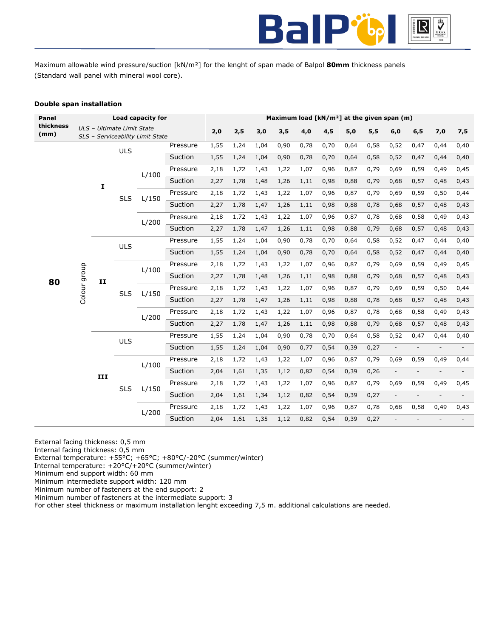

Maximum allowable wind pressure/suction [kN/m²] for the lenght of span made of Balpol **80mm** thickness panels (Standard wall panel with mineral wool core).

# **Double span installation**

| Panel             |                          |            |                            | Load capacity for                |          |      |      |      |      |      |      |      |      | Maximum load [kN/m <sup>2</sup> ] at the given span (m) |                |                |                |
|-------------------|--------------------------|------------|----------------------------|----------------------------------|----------|------|------|------|------|------|------|------|------|---------------------------------------------------------|----------------|----------------|----------------|
| thickness<br>(mm) |                          |            | ULS - Ultimate Limit State | SLS - Serviceability Limit State |          | 2,0  | 2,5  | 3,0  | 3,5  | 4,0  | 4,5  | 5,0  | 5,5  | 6,0                                                     | 6, 5           | 7,0            | 7,5            |
|                   |                          |            | <b>ULS</b>                 |                                  | Pressure | 1,55 | 1,24 | 1,04 | 0,90 | 0,78 | 0,70 | 0,64 | 0,58 | 0,52                                                    | 0,47           | 0,44           | 0,40           |
|                   |                          |            |                            |                                  | Suction  | 1,55 | 1,24 | 1,04 | 0,90 | 0,78 | 0,70 | 0,64 | 0,58 | 0,52                                                    | 0,47           | 0,44           | 0,40           |
|                   |                          |            |                            |                                  | Pressure | 2,18 | 1,72 | 1,43 | 1,22 | 1,07 | 0,96 | 0,87 | 0,79 | 0,69                                                    | 0,59           | 0,49           | 0,45           |
|                   |                          |            |                            | L/100                            | Suction  | 2,27 | 1,78 | 1,48 | 1,26 | 1,11 | 0,98 | 0,88 | 0,79 | 0,68                                                    | 0,57           | 0,48           | 0,43           |
|                   |                          | I          |                            |                                  | Pressure | 2,18 | 1,72 | 1,43 | 1,22 | 1,07 | 0,96 | 0,87 | 0,79 | 0,69                                                    | 0,59           | 0,50           | 0,44           |
|                   |                          |            | <b>SLS</b>                 | L/150                            | Suction  | 2,27 | 1,78 | 1,47 | 1,26 | 1,11 | 0,98 | 0,88 | 0,78 | 0,68                                                    | 0,57           | 0,48           | 0,43           |
|                   |                          |            |                            |                                  | Pressure | 2,18 | 1,72 | 1,43 | 1,22 | 1,07 | 0,96 | 0,87 | 0,78 | 0,68                                                    | 0,58           | 0,49           | 0,43           |
|                   |                          |            |                            | L/200                            | Suction  | 2,27 | 1,78 | 1,47 | 1,26 | 1,11 | 0,98 | 0,88 | 0,79 | 0,68                                                    | 0,57           | 0,48           | 0,43           |
|                   |                          |            |                            |                                  | Pressure | 1,55 | 1,24 | 1,04 | 0,90 | 0,78 | 0,70 | 0,64 | 0,58 | 0,52                                                    | 0,47           | 0,44           | 0,40           |
|                   | Colour group<br>80<br>II | <b>ULS</b> |                            | Suction                          | 1,55     | 1,24 | 1,04 | 0,90 | 0,78 | 0,70 | 0,64 | 0,58 | 0,52 | 0,47                                                    | 0,44           | 0,40           |                |
|                   |                          |            |                            | Pressure                         | 2,18     | 1,72 | 1,43 | 1,22 | 1,07 | 0,96 | 0,87 | 0,79 | 0,69 | 0,59                                                    | 0,49           | 0,45           |                |
|                   |                          |            |                            | L/100                            | Suction  | 2,27 | 1,78 | 1,48 | 1,26 | 1,11 | 0,98 | 0,88 | 0,79 | 0,68                                                    | 0,57           | 0,48           | 0,43           |
|                   |                          |            |                            |                                  | Pressure | 2,18 | 1,72 | 1,43 | 1,22 | 1,07 | 0,96 | 0,87 | 0,79 | 0,69                                                    | 0,59           | 0,50           | 0,44           |
|                   |                          |            | <b>SLS</b>                 | L/150                            | Suction  | 2,27 | 1,78 | 1,47 | 1,26 | 1,11 | 0,98 | 0,88 | 0,78 | 0,68                                                    | 0,57           | 0,48           | 0,43           |
|                   |                          |            |                            |                                  | Pressure | 2,18 | 1,72 | 1,43 | 1,22 | 1,07 | 0,96 | 0,87 | 0,78 | 0,68                                                    | 0,58           | 0,49           | 0,43           |
|                   |                          |            |                            | L/200                            | Suction  | 2,27 | 1,78 | 1,47 | 1,26 | 1,11 | 0,98 | 0,88 | 0,79 | 0,68                                                    | 0,57           | 0,48           | 0,43           |
|                   |                          |            | <b>ULS</b>                 |                                  | Pressure | 1,55 | 1,24 | 1,04 | 0,90 | 0,78 | 0,70 | 0,64 | 0,58 | 0,52                                                    | 0,47           | 0,44           | 0,40           |
|                   |                          |            |                            |                                  | Suction  | 1,55 | 1,24 | 1,04 | 0,90 | 0,77 | 0,54 | 0,39 | 0,27 | $\overline{\phantom{a}}$                                |                | $\overline{a}$ |                |
|                   |                          |            |                            |                                  | Pressure | 2,18 | 1,72 | 1,43 | 1,22 | 1,07 | 0,96 | 0,87 | 0,79 | 0,69                                                    | 0,59           | 0,49           | 0,44           |
|                   |                          | III        |                            | L/100                            | Suction  | 2,04 | 1,61 | 1,35 | 1,12 | 0,82 | 0,54 | 0,39 | 0,26 | $\overline{\phantom{a}}$                                | $\blacksquare$ | $\overline{a}$ | $\overline{a}$ |
|                   |                          |            |                            |                                  | Pressure | 2,18 | 1,72 | 1,43 | 1,22 | 1,07 | 0,96 | 0,87 | 0,79 | 0,69                                                    | 0,59           | 0,49           | 0,45           |
|                   |                          |            | <b>SLS</b>                 | L/150                            | Suction  | 2,04 | 1,61 | 1,34 | 1,12 | 0,82 | 0,54 | 0,39 | 0,27 | $\overline{\phantom{a}}$                                |                |                |                |
|                   |                          |            |                            |                                  | Pressure | 2,18 | 1,72 | 1,43 | 1,22 | 1,07 | 0,96 | 0,87 | 0,78 | 0,68                                                    | 0,58           | 0,49           | 0,43           |
|                   |                          |            |                            | L/200                            | Suction  | 2,04 | 1,61 | 1,35 | 1,12 | 0,82 | 0,54 | 0,39 | 0,27 |                                                         |                |                |                |

External facing thickness: 0,5 mm

Internal facing thickness: 0,5 mm

External temperature: +55°C; +65°C; +80°C/-20°C (summer/winter)

Internal temperature: +20°C/+20°C (summer/winter)

Minimum end support width: 60 mm

Minimum intermediate support width: 120 mm Minimum number of fasteners at the end support: 2

Minimum number of fasteners at the intermediate support: 3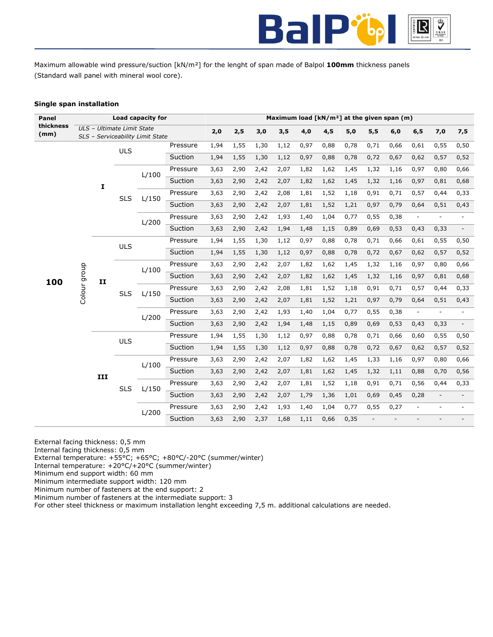

Maximum allowable wind pressure/suction [kN/m²] for the lenght of span made of Balpol **100mm** thickness panels (Standard wall panel with mineral wool core).

# **Single span installation**

| Panel             |                           |     |                            | Load capacity for                |          |      |      |      |      |      |      |      |      | Maximum load $[kN/m^2]$ at the given span (m) |                          |                          |                          |
|-------------------|---------------------------|-----|----------------------------|----------------------------------|----------|------|------|------|------|------|------|------|------|-----------------------------------------------|--------------------------|--------------------------|--------------------------|
| thickness<br>(mm) |                           |     | ULS - Ultimate Limit State |                                  |          | 2,0  | 2,5  | 3,0  | 3,5  | 4,0  | 4,5  | 5,0  | 5,5  | 6,0                                           | 6, 5                     | 7,0                      | 7,5                      |
|                   |                           |     |                            | SLS - Serviceability Limit State | Pressure | 1,94 | 1,55 | 1,30 | 1,12 | 0,97 | 0,88 | 0,78 | 0,71 | 0,66                                          | 0,61                     | 0,55                     | 0,50                     |
|                   |                           |     | <b>ULS</b>                 |                                  |          |      |      |      |      |      |      |      |      |                                               |                          |                          |                          |
|                   |                           |     |                            |                                  | Suction  | 1,94 | 1,55 | 1,30 | 1,12 | 0,97 | 0,88 | 0,78 | 0,72 | 0,67                                          | 0,62                     | 0,57                     | 0,52                     |
|                   |                           |     |                            | L/100                            | Pressure | 3,63 | 2,90 | 2,42 | 2,07 | 1,82 | 1,62 | 1,45 | 1,32 | 1,16                                          | 0,97                     | 0,80                     | 0,66                     |
|                   |                           | I   |                            |                                  | Suction  | 3,63 | 2,90 | 2,42 | 2,07 | 1,82 | 1,62 | 1,45 | 1,32 | 1,16                                          | 0,97                     | 0,81                     | 0,68                     |
|                   |                           |     | <b>SLS</b>                 | L/150                            | Pressure | 3,63 | 2,90 | 2,42 | 2,08 | 1,81 | 1,52 | 1,18 | 0,91 | 0,71                                          | 0,57                     | 0,44                     | 0,33                     |
|                   |                           |     |                            |                                  | Suction  | 3,63 | 2,90 | 2,42 | 2,07 | 1,81 | 1,52 | 1,21 | 0,97 | 0,79                                          | 0,64                     | 0,51                     | 0,43                     |
|                   |                           |     |                            |                                  | Pressure | 3,63 | 2,90 | 2,42 | 1,93 | 1,40 | 1,04 | 0,77 | 0,55 | 0,38                                          | $\overline{\phantom{a}}$ |                          | $\overline{\phantom{a}}$ |
|                   |                           |     |                            | L/200                            | Suction  | 3,63 | 2,90 | 2,42 | 1,94 | 1,48 | 1,15 | 0,89 | 0,69 | 0,53                                          | 0,43                     | 0,33                     |                          |
|                   |                           |     |                            |                                  | Pressure | 1,94 | 1,55 | 1,30 | 1,12 | 0,97 | 0,88 | 0,78 | 0,71 | 0,66                                          | 0,61                     | 0,55                     | 0,50                     |
|                   |                           |     | ULS                        |                                  | Suction  | 1,94 | 1,55 | 1,30 | 1,12 | 0,97 | 0,88 | 0,78 | 0,72 | 0,67                                          | 0,62                     | 0,57                     | 0,52                     |
|                   | Colour group<br>100<br>II |     |                            | Pressure                         | 3,63     | 2,90 | 2,42 | 2,07 | 1,82 | 1,62 | 1,45 | 1,32 | 1,16 | 0,97                                          | 0,80                     | 0,66                     |                          |
|                   |                           |     |                            | L/100                            | Suction  | 3,63 | 2,90 | 2,42 | 2,07 | 1,82 | 1,62 | 1,45 | 1,32 | 1,16                                          | 0,97                     | 0,81                     | 0,68                     |
|                   |                           |     |                            |                                  | Pressure | 3,63 | 2,90 | 2,42 | 2,08 | 1,81 | 1,52 | 1,18 | 0,91 | 0,71                                          | 0,57                     | 0,44                     | 0,33                     |
|                   |                           |     | <b>SLS</b>                 | L/150                            | Suction  | 3,63 | 2,90 | 2,42 | 2,07 | 1,81 | 1,52 | 1,21 | 0,97 | 0,79                                          | 0,64                     | 0,51                     | 0,43                     |
|                   |                           |     |                            |                                  |          |      |      |      |      |      |      |      | 0,55 |                                               | $\overline{\phantom{a}}$ | ä,                       |                          |
|                   |                           |     |                            | L/200                            | Pressure | 3,63 | 2,90 | 2,42 | 1,93 | 1,40 | 1,04 | 0,77 |      | 0,38                                          |                          |                          |                          |
|                   |                           |     |                            |                                  | Suction  | 3,63 | 2,90 | 2,42 | 1,94 | 1,48 | 1,15 | 0,89 | 0,69 | 0,53                                          | 0,43                     | 0,33                     | $\overline{\phantom{a}}$ |
|                   |                           |     | <b>ULS</b>                 |                                  | Pressure | 1,94 | 1,55 | 1,30 | 1,12 | 0,97 | 0,88 | 0,78 | 0,71 | 0,66                                          | 0,60                     | 0,55                     | 0,50                     |
|                   |                           |     |                            |                                  | Suction  | 1,94 | 1,55 | 1,30 | 1,12 | 0,97 | 0,88 | 0,78 | 0,72 | 0,67                                          | 0,62                     | 0,57                     | 0,52                     |
|                   |                           |     |                            | L/100                            | Pressure | 3,63 | 2,90 | 2,42 | 2,07 | 1,82 | 1,62 | 1,45 | 1,33 | 1,16                                          | 0,97                     | 0,80                     | 0,66                     |
|                   |                           | III |                            |                                  | Suction  | 3,63 | 2,90 | 2,42 | 2,07 | 1,81 | 1,62 | 1,45 | 1,32 | 1,11                                          | 0,88                     | 0,70                     | 0,56                     |
|                   |                           |     | <b>SLS</b>                 | L/150                            | Pressure | 3,63 | 2,90 | 2,42 | 2,07 | 1,81 | 1,52 | 1,18 | 0,91 | 0,71                                          | 0,56                     | 0,44                     | 0,33                     |
|                   |                           |     |                            |                                  | Suction  | 3,63 | 2,90 | 2,42 | 2,07 | 1,79 | 1,36 | 1,01 | 0,69 | 0,45                                          | 0,28                     | $\blacksquare$           |                          |
|                   |                           |     |                            |                                  | Pressure | 3,63 | 2,90 | 2,42 | 1,93 | 1,40 | 1,04 | 0,77 | 0,55 | 0,27                                          | $\blacksquare$           | $\overline{\phantom{a}}$ | $\overline{\phantom{a}}$ |
|                   |                           |     |                            | L/200                            | Suction  | 3,63 | 2,90 | 2,37 | 1,68 | 1,11 | 0,66 | 0,35 |      |                                               |                          |                          |                          |

External facing thickness: 0,5 mm

Internal facing thickness: 0,5 mm

External temperature: +55°C; +65°C; +80°C/-20°C (summer/winter)

Internal temperature: +20°C/+20°C (summer/winter)

Minimum end support width: 60 mm

Minimum intermediate support width: 120 mm Minimum number of fasteners at the end support: 2

Minimum number of fasteners at the intermediate support: 3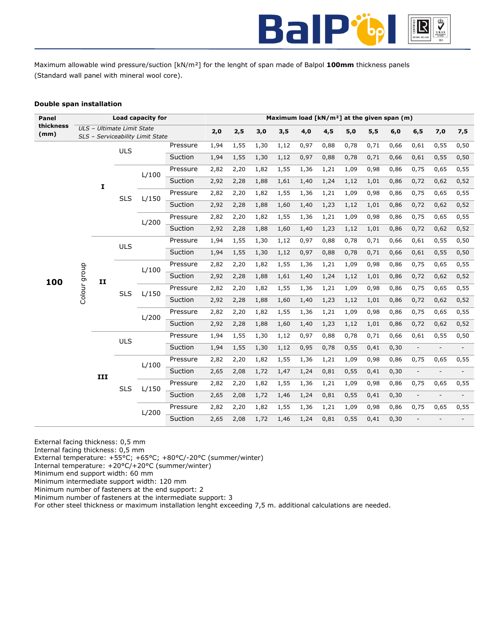

Maximum allowable wind pressure/suction [kN/m²] for the lenght of span made of Balpol **100mm** thickness panels (Standard wall panel with mineral wool core).

# **Double span installation**

| Panel             |                           |     |                            | Load capacity for                |          |      |      |      |      |      |      |      |      | Maximum load $[kN/m^2]$ at the given span (m) |                          |                          |                          |
|-------------------|---------------------------|-----|----------------------------|----------------------------------|----------|------|------|------|------|------|------|------|------|-----------------------------------------------|--------------------------|--------------------------|--------------------------|
| thickness<br>(mm) |                           |     | ULS - Ultimate Limit State |                                  |          | 2,0  | 2,5  | 3,0  | 3,5  | 4,0  | 4,5  | 5,0  | 5,5  | 6,0                                           | 6, 5                     | 7,0                      | 7,5                      |
|                   |                           |     |                            | SLS - Serviceability Limit State | Pressure | 1,94 | 1,55 | 1,30 | 1,12 | 0,97 | 0,88 | 0,78 | 0,71 | 0,66                                          | 0,61                     | 0,55                     | 0,50                     |
|                   |                           |     | <b>ULS</b>                 |                                  |          |      |      |      |      |      |      |      |      |                                               |                          |                          |                          |
|                   |                           |     |                            |                                  | Suction  | 1,94 | 1,55 | 1,30 | 1,12 | 0,97 | 0,88 | 0,78 | 0,71 | 0,66                                          | 0,61                     | 0,55                     | 0,50                     |
|                   |                           |     |                            | L/100                            | Pressure | 2,82 | 2,20 | 1,82 | 1,55 | 1,36 | 1,21 | 1,09 | 0,98 | 0,86                                          | 0,75                     | 0,65                     | 0,55                     |
|                   |                           | I   |                            |                                  | Suction  | 2,92 | 2,28 | 1,88 | 1,61 | 1,40 | 1,24 | 1,12 | 1,01 | 0,86                                          | 0,72                     | 0,62                     | 0,52                     |
|                   |                           |     | <b>SLS</b>                 | L/150                            | Pressure | 2,82 | 2,20 | 1,82 | 1,55 | 1,36 | 1,21 | 1,09 | 0,98 | 0,86                                          | 0,75                     | 0,65                     | 0,55                     |
|                   |                           |     |                            |                                  | Suction  | 2,92 | 2,28 | 1,88 | 1,60 | 1,40 | 1,23 | 1,12 | 1,01 | 0,86                                          | 0,72                     | 0,62                     | 0,52                     |
|                   |                           |     |                            | L/200                            | Pressure | 2,82 | 2,20 | 1,82 | 1,55 | 1,36 | 1,21 | 1,09 | 0,98 | 0,86                                          | 0,75                     | 0,65                     | 0,55                     |
|                   |                           |     |                            |                                  | Suction  | 2,92 | 2,28 | 1,88 | 1,60 | 1,40 | 1,23 | 1,12 | 1,01 | 0,86                                          | 0,72                     | 0,62                     | 0,52                     |
|                   |                           |     | <b>ULS</b>                 |                                  | Pressure | 1,94 | 1,55 | 1,30 | 1,12 | 0,97 | 0,88 | 0,78 | 0,71 | 0,66                                          | 0,61                     | 0,55                     | 0,50                     |
|                   | Colour group<br>100<br>II |     |                            | Suction                          | 1,94     | 1,55 | 1,30 | 1,12 | 0,97 | 0,88 | 0,78 | 0,71 | 0,66 | 0,61                                          | 0,55                     | 0,50                     |                          |
|                   |                           |     | L/100                      | Pressure                         | 2,82     | 2,20 | 1,82 | 1,55 | 1,36 | 1,21 | 1,09 | 0,98 | 0,86 | 0,75                                          | 0,65                     | 0,55                     |                          |
|                   |                           |     |                            |                                  | Suction  | 2,92 | 2,28 | 1,88 | 1,61 | 1,40 | 1,24 | 1,12 | 1,01 | 0,86                                          | 0,72                     | 0,62                     | 0,52                     |
|                   |                           |     | <b>SLS</b>                 | L/150                            | Pressure | 2,82 | 2,20 | 1,82 | 1,55 | 1,36 | 1,21 | 1,09 | 0,98 | 0,86                                          | 0,75                     | 0,65                     | 0,55                     |
|                   |                           |     |                            |                                  | Suction  | 2,92 | 2,28 | 1,88 | 1,60 | 1,40 | 1,23 | 1,12 | 1,01 | 0,86                                          | 0,72                     | 0,62                     | 0,52                     |
|                   |                           |     |                            | L/200                            | Pressure | 2,82 | 2,20 | 1,82 | 1,55 | 1,36 | 1,21 | 1,09 | 0,98 | 0,86                                          | 0,75                     | 0,65                     | 0,55                     |
|                   |                           |     |                            |                                  | Suction  | 2,92 | 2,28 | 1,88 | 1,60 | 1,40 | 1,23 | 1,12 | 1,01 | 0,86                                          | 0,72                     | 0,62                     | 0,52                     |
|                   |                           |     | <b>ULS</b>                 |                                  | Pressure | 1,94 | 1,55 | 1,30 | 1,12 | 0,97 | 0,88 | 0,78 | 0,71 | 0,66                                          | 0,61                     | 0,55                     | 0,50                     |
|                   |                           |     |                            |                                  | Suction  | 1,94 | 1,55 | 1,30 | 1,12 | 0,95 | 0,78 | 0,55 | 0,41 | 0,30                                          | $\overline{\phantom{0}}$ | $\overline{\phantom{m}}$ | $\overline{\phantom{a}}$ |
|                   |                           |     |                            | L/100                            | Pressure | 2,82 | 2,20 | 1,82 | 1,55 | 1,36 | 1,21 | 1,09 | 0,98 | 0,86                                          | 0,75                     | 0,65                     | 0,55                     |
|                   |                           | III |                            |                                  | Suction  | 2,65 | 2,08 | 1,72 | 1,47 | 1,24 | 0,81 | 0,55 | 0,41 | 0,30                                          |                          | $\overline{a}$           |                          |
|                   |                           |     | <b>SLS</b>                 | L/150                            | Pressure | 2,82 | 2,20 | 1,82 | 1,55 | 1,36 | 1,21 | 1,09 | 0,98 | 0,86                                          | 0,75                     | 0,65                     | 0,55                     |
|                   |                           |     |                            |                                  | Suction  | 2,65 | 2,08 | 1,72 | 1,46 | 1,24 | 0,81 | 0,55 | 0,41 | 0,30                                          | $\overline{a}$           |                          |                          |
|                   |                           |     |                            | L/200                            | Pressure | 2,82 | 2,20 | 1,82 | 1,55 | 1,36 | 1,21 | 1,09 | 0,98 | 0,86                                          | 0,75                     | 0,65                     | 0,55                     |
|                   |                           |     |                            |                                  | Suction  | 2,65 | 2,08 | 1,72 | 1,46 | 1,24 | 0,81 | 0,55 | 0,41 | 0,30                                          |                          |                          |                          |

External facing thickness: 0,5 mm

Internal facing thickness: 0,5 mm

External temperature: +55°C; +65°C; +80°C/-20°C (summer/winter)

Internal temperature: +20°C/+20°C (summer/winter)

Minimum end support width: 60 mm

Minimum intermediate support width: 120 mm

Minimum number of fasteners at the end support: 2 Minimum number of fasteners at the intermediate support: 3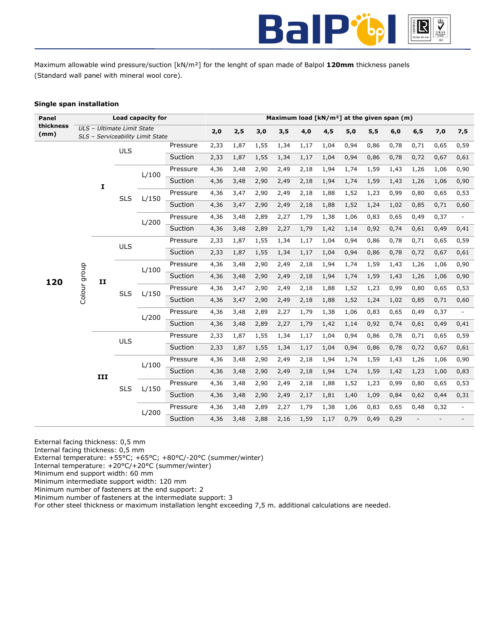

Maximum allowable wind pressure/suction [kN/m²] for the lenght of span made of Balpol **120mm** thickness panels (Standard wall panel with mineral wool core).

# **Single span installation**

| Panel             |                                      |            |                            | Load capacity for                |          |      |      |      |      |      |      |      |      | Maximum load [kN/m <sup>2</sup> ] at the given span (m) |      |      |                          |
|-------------------|--------------------------------------|------------|----------------------------|----------------------------------|----------|------|------|------|------|------|------|------|------|---------------------------------------------------------|------|------|--------------------------|
| thickness<br>(mm) |                                      |            | ULS - Ultimate Limit State | SLS - Serviceability Limit State |          | 2,0  | 2,5  | 3,0  | 3,5  | 4,0  | 4,5  | 5,0  | 5,5  | 6,0                                                     | 6, 5 | 7,0  | 7,5                      |
|                   |                                      |            | <b>ULS</b>                 |                                  | Pressure | 2,33 | 1,87 | 1,55 | 1,34 | 1,17 | 1,04 | 0,94 | 0,86 | 0,78                                                    | 0,71 | 0,65 | 0,59                     |
|                   |                                      |            |                            |                                  | Suction  | 2,33 | 1,87 | 1,55 | 1,34 | 1,17 | 1,04 | 0,94 | 0,86 | 0,78                                                    | 0,72 | 0,67 | 0,61                     |
|                   |                                      |            |                            |                                  | Pressure | 4,36 | 3,48 | 2,90 | 2,49 | 2,18 | 1,94 | 1,74 | 1,59 | 1,43                                                    | 1,26 | 1,06 | 0,90                     |
|                   |                                      |            |                            | L/100                            | Suction  | 4,36 | 3,48 | 2,90 | 2,49 | 2,18 | 1,94 | 1,74 | 1,59 | 1,43                                                    | 1,26 | 1,06 | 0,90                     |
|                   |                                      | I          |                            |                                  | Pressure | 4,36 | 3,47 | 2,90 | 2,49 | 2,18 | 1,88 | 1,52 | 1,23 | 0,99                                                    | 0,80 | 0,65 | 0,53                     |
|                   |                                      |            | <b>SLS</b>                 | L/150                            | Suction  | 4,36 | 3,47 | 2,90 | 2,49 | 2,18 | 1,88 | 1,52 | 1,24 | 1,02                                                    | 0,85 | 0,71 | 0,60                     |
|                   |                                      |            |                            |                                  | Pressure | 4,36 | 3,48 | 2,89 | 2,27 | 1,79 | 1,38 | 1,06 | 0,83 | 0,65                                                    | 0,49 | 0,37 |                          |
|                   |                                      |            |                            | L/200                            | Suction  | 4,36 | 3,48 | 2,89 | 2,27 | 1,79 | 1,42 | 1,14 | 0,92 | 0,74                                                    | 0,61 | 0,49 | 0,41                     |
|                   |                                      |            |                            |                                  | Pressure | 2,33 | 1,87 | 1,55 | 1,34 | 1,17 | 1,04 | 0,94 | 0,86 | 0,78                                                    | 0,71 | 0,65 | 0,59                     |
|                   | Colour group<br>120<br>$\mathbf{II}$ | <b>ULS</b> |                            | Suction                          | 2,33     | 1,87 | 1,55 | 1,34 | 1,17 | 1,04 | 0,94 | 0,86 | 0,78 | 0,72                                                    | 0,67 | 0,61 |                          |
|                   |                                      |            |                            | Pressure                         | 4,36     | 3,48 | 2,90 | 2,49 | 2,18 | 1,94 | 1,74 | 1,59 | 1,43 | 1,26                                                    | 1,06 | 0,90 |                          |
|                   |                                      |            |                            | L/100                            | Suction  | 4,36 | 3,48 | 2,90 | 2,49 | 2,18 | 1,94 | 1,74 | 1,59 | 1,43                                                    | 1,26 | 1,06 | 0,90                     |
|                   |                                      |            |                            |                                  | Pressure | 4,36 | 3,47 | 2,90 | 2,49 | 2,18 | 1,88 | 1,52 | 1,23 | 0,99                                                    | 0,80 | 0,65 | 0,53                     |
|                   |                                      |            | <b>SLS</b>                 | L/150                            | Suction  | 4,36 | 3,47 | 2,90 | 2,49 | 2,18 | 1,88 | 1,52 | 1,24 | 1,02                                                    | 0,85 | 0,71 | 0,60                     |
|                   |                                      |            |                            |                                  | Pressure | 4,36 | 3,48 | 2,89 | 2,27 | 1,79 | 1,38 | 1,06 | 0,83 | 0,65                                                    | 0,49 | 0,37 |                          |
|                   |                                      |            |                            | L/200                            | Suction  | 4,36 | 3,48 | 2,89 | 2,27 | 1,79 | 1,42 | 1,14 | 0,92 | 0,74                                                    | 0,61 | 0,49 | 0,41                     |
|                   |                                      |            | <b>ULS</b>                 |                                  | Pressure | 2,33 | 1,87 | 1,55 | 1,34 | 1,17 | 1,04 | 0,94 | 0,86 | 0,78                                                    | 0,71 | 0,65 | 0,59                     |
|                   |                                      |            |                            |                                  | Suction  | 2,33 | 1,87 | 1,55 | 1,34 | 1,17 | 1,04 | 0,94 | 0,86 | 0,78                                                    | 0,72 | 0,67 | 0,61                     |
|                   |                                      |            |                            | L/100                            | Pressure | 4,36 | 3,48 | 2,90 | 2,49 | 2,18 | 1,94 | 1,74 | 1,59 | 1,43                                                    | 1,26 | 1,06 | 0,90                     |
|                   |                                      | III        |                            |                                  | Suction  | 4,36 | 3,48 | 2,90 | 2,49 | 2,18 | 1,94 | 1,74 | 1,59 | 1,42                                                    | 1,23 | 1,00 | 0,83                     |
|                   |                                      |            | <b>SLS</b>                 | L/150                            | Pressure | 4,36 | 3,48 | 2,90 | 2,49 | 2,18 | 1,88 | 1,52 | 1,23 | 0,99                                                    | 0,80 | 0,65 | 0,53                     |
|                   |                                      |            |                            |                                  | Suction  | 4,36 | 3,48 | 2,90 | 2,49 | 2,17 | 1,81 | 1,40 | 1,09 | 0,84                                                    | 0,62 | 0,44 | 0,31                     |
|                   |                                      |            |                            | L/200                            | Pressure | 4,36 | 3,48 | 2,89 | 2,27 | 1,79 | 1,38 | 1,06 | 0,83 | 0,65                                                    | 0,48 | 0,32 | $\overline{\phantom{a}}$ |
|                   |                                      |            |                            |                                  | Suction  | 4,36 | 3,48 | 2,88 | 2,16 | 1,59 | 1,17 | 0,79 | 0,49 | 0,29                                                    |      |      |                          |

External facing thickness: 0,5 mm

Internal facing thickness: 0,5 mm

External temperature: +55°C; +65°C; +80°C/-20°C (summer/winter)

Internal temperature: +20°C/+20°C (summer/winter)

Minimum end support width: 60 mm

Minimum intermediate support width: 120 mm Minimum number of fasteners at the end support: 2

Minimum number of fasteners at the intermediate support: 3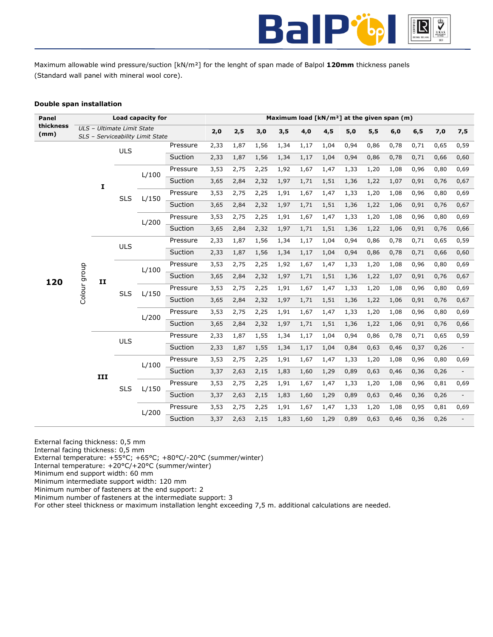

Maximum allowable wind pressure/suction [kN/m²] for the lenght of span made of Balpol **120mm** thickness panels (Standard wall panel with mineral wool core).

# **Double span installation**

| Panel             |                           |     |                            | Load capacity for                |          |      |      |      |      |      |      |      |      | Maximum load $[kN/m^2]$ at the given span $(m)$ |      |      |                          |
|-------------------|---------------------------|-----|----------------------------|----------------------------------|----------|------|------|------|------|------|------|------|------|-------------------------------------------------|------|------|--------------------------|
| thickness<br>(mm) |                           |     | ULS - Ultimate Limit State | SLS - Serviceability Limit State |          | 2,0  | 2,5  | 3,0  | 3,5  | 4,0  | 4,5  | 5,0  | 5,5  | 6,0                                             | 6, 5 | 7,0  | 7,5                      |
|                   |                           |     |                            |                                  | Pressure | 2,33 | 1,87 | 1,56 | 1,34 | 1,17 | 1,04 | 0,94 | 0,86 | 0,78                                            | 0,71 | 0,65 | 0,59                     |
|                   |                           |     | <b>ULS</b>                 |                                  | Suction  | 2,33 | 1,87 | 1,56 | 1,34 | 1,17 | 1,04 | 0,94 | 0,86 | 0,78                                            | 0,71 | 0,66 | 0,60                     |
|                   |                           |     |                            |                                  | Pressure | 3,53 | 2,75 | 2,25 | 1,92 | 1,67 | 1,47 | 1,33 | 1,20 | 1,08                                            | 0,96 | 0,80 | 0,69                     |
|                   |                           |     |                            | L/100                            | Suction  | 3,65 | 2,84 | 2,32 | 1,97 | 1,71 | 1,51 | 1,36 | 1,22 | 1,07                                            | 0,91 | 0,76 | 0,67                     |
|                   |                           | I   |                            |                                  | Pressure | 3,53 | 2,75 | 2,25 | 1,91 | 1,67 | 1,47 | 1,33 | 1,20 | 1,08                                            | 0,96 | 0,80 | 0,69                     |
|                   |                           |     | <b>SLS</b>                 | L/150                            | Suction  | 3,65 | 2,84 | 2,32 | 1,97 | 1,71 | 1,51 | 1,36 | 1,22 | 1,06                                            | 0,91 | 0,76 | 0,67                     |
|                   |                           |     |                            | L/200                            | Pressure | 3,53 | 2,75 | 2,25 | 1,91 | 1,67 | 1,47 | 1,33 | 1,20 | 1,08                                            | 0,96 | 0,80 | 0,69                     |
|                   |                           |     |                            |                                  | Suction  | 3,65 | 2,84 | 2,32 | 1,97 | 1,71 | 1,51 | 1,36 | 1,22 | 1,06                                            | 0,91 | 0,76 | 0,66                     |
|                   |                           |     | <b>ULS</b>                 |                                  | Pressure | 2,33 | 1,87 | 1,56 | 1,34 | 1,17 | 1,04 | 0,94 | 0,86 | 0,78                                            | 0,71 | 0,65 | 0,59                     |
|                   |                           |     |                            |                                  | Suction  | 2,33 | 1,87 | 1,56 | 1,34 | 1,17 | 1,04 | 0,94 | 0,86 | 0,78                                            | 0,71 | 0,66 | 0,60                     |
|                   | Colour group<br>120<br>II |     | L/100                      | Pressure                         | 3,53     | 2,75 | 2,25 | 1,92 | 1,67 | 1,47 | 1,33 | 1,20 | 1,08 | 0,96                                            | 0,80 | 0,69 |                          |
|                   |                           |     |                            |                                  | Suction  | 3,65 | 2,84 | 2,32 | 1,97 | 1,71 | 1,51 | 1,36 | 1,22 | 1,07                                            | 0,91 | 0,76 | 0,67                     |
|                   |                           |     | <b>SLS</b>                 | L/150                            | Pressure | 3,53 | 2,75 | 2,25 | 1,91 | 1,67 | 1,47 | 1,33 | 1,20 | 1,08                                            | 0,96 | 0,80 | 0,69                     |
|                   |                           |     |                            |                                  | Suction  | 3,65 | 2,84 | 2,32 | 1,97 | 1,71 | 1,51 | 1,36 | 1,22 | 1,06                                            | 0,91 | 0,76 | 0,67                     |
|                   |                           |     |                            | L/200                            | Pressure | 3,53 | 2,75 | 2,25 | 1,91 | 1,67 | 1,47 | 1,33 | 1,20 | 1,08                                            | 0,96 | 0,80 | 0,69                     |
|                   |                           |     |                            |                                  | Suction  | 3,65 | 2,84 | 2,32 | 1,97 | 1,71 | 1,51 | 1,36 | 1,22 | 1,06                                            | 0,91 | 0,76 | 0,66                     |
|                   |                           |     | <b>ULS</b>                 |                                  | Pressure | 2,33 | 1,87 | 1,55 | 1,34 | 1,17 | 1,04 | 0,94 | 0,86 | 0,78                                            | 0,71 | 0,65 | 0,59                     |
|                   |                           |     |                            |                                  | Suction  | 2,33 | 1,87 | 1,55 | 1,34 | 1,17 | 1,04 | 0,84 | 0,63 | 0,46                                            | 0,37 | 0,26 |                          |
|                   |                           |     |                            | L/100                            | Pressure | 3,53 | 2,75 | 2,25 | 1,91 | 1,67 | 1,47 | 1,33 | 1,20 | 1,08                                            | 0,96 | 0,80 | 0,69                     |
|                   |                           | III |                            |                                  | Suction  | 3,37 | 2,63 | 2,15 | 1,83 | 1,60 | 1,29 | 0,89 | 0,63 | 0,46                                            | 0,36 | 0,26 |                          |
|                   |                           |     | <b>SLS</b>                 | L/150                            | Pressure | 3,53 | 2,75 | 2,25 | 1,91 | 1,67 | 1,47 | 1,33 | 1,20 | 1,08                                            | 0,96 | 0,81 | 0,69                     |
|                   |                           |     |                            |                                  | Suction  | 3,37 | 2,63 | 2,15 | 1,83 | 1,60 | 1,29 | 0,89 | 0,63 | 0,46                                            | 0,36 | 0,26 | $\overline{\phantom{a}}$ |
|                   |                           |     |                            | L/200                            | Pressure | 3,53 | 2,75 | 2,25 | 1,91 | 1,67 | 1,47 | 1,33 | 1,20 | 1,08                                            | 0,95 | 0,81 | 0,69                     |
|                   |                           |     |                            |                                  | Suction  | 3,37 | 2,63 | 2,15 | 1,83 | 1,60 | 1,29 | 0,89 | 0,63 | 0,46                                            | 0,36 | 0,26 |                          |

External facing thickness: 0,5 mm

Internal facing thickness: 0,5 mm

External temperature: +55°C; +65°C; +80°C/-20°C (summer/winter)

Internal temperature: +20°C/+20°C (summer/winter)

Minimum end support width: 60 mm

Minimum intermediate support width: 120 mm Minimum number of fasteners at the end support: 2

Minimum number of fasteners at the intermediate support: 3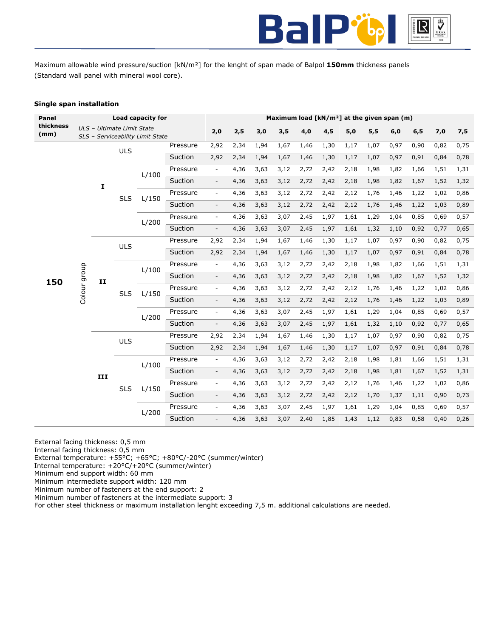

Maximum allowable wind pressure/suction [kN/m²] for the lenght of span made of Balpol **150mm** thickness panels (Standard wall panel with mineral wool core).

# **Single span installation**

| Panel             |                                     |     |                            | Load capacity for                |                |                          |      |      |      | Maximum load [kN/m <sup>2</sup> ] at the given span (m) |      |      |      |      |      |      |      |
|-------------------|-------------------------------------|-----|----------------------------|----------------------------------|----------------|--------------------------|------|------|------|---------------------------------------------------------|------|------|------|------|------|------|------|
| thickness<br>(mm) |                                     |     | ULS - Ultimate Limit State | SLS - Serviceability Limit State |                | 2,0                      | 2,5  | 3,0  | 3,5  | 4,0                                                     | 4,5  | 5,0  | 5,5  | 6,0  | 6, 5 | 7,0  | 7,5  |
|                   |                                     |     |                            |                                  | Pressure       | 2,92                     | 2,34 | 1,94 | 1,67 | 1,46                                                    | 1,30 | 1,17 | 1,07 | 0,97 | 0,90 | 0,82 | 0,75 |
|                   |                                     |     | <b>ULS</b>                 |                                  | Suction        | 2,92                     | 2,34 | 1,94 | 1,67 | 1,46                                                    | 1,30 | 1,17 | 1,07 | 0,97 | 0,91 | 0,84 | 0,78 |
|                   |                                     |     |                            | L/100                            | Pressure       | $\equiv$                 | 4,36 | 3,63 | 3,12 | 2,72                                                    | 2,42 | 2,18 | 1,98 | 1,82 | 1,66 | 1,51 | 1,31 |
|                   |                                     |     |                            |                                  | Suction        | $\overline{\phantom{a}}$ | 4,36 | 3,63 | 3,12 | 2,72                                                    | 2,42 | 2,18 | 1,98 | 1,82 | 1,67 | 1,52 | 1,32 |
|                   |                                     | I   | <b>SLS</b>                 | L/150                            | Pressure       | $\blacksquare$           | 4,36 | 3,63 | 3,12 | 2,72                                                    | 2,42 | 2,12 | 1,76 | 1,46 | 1,22 | 1,02 | 0,86 |
|                   |                                     |     |                            |                                  | Suction        | $\overline{\phantom{a}}$ | 4,36 | 3,63 | 3,12 | 2,72                                                    | 2,42 | 2,12 | 1,76 | 1,46 | 1,22 | 1,03 | 0,89 |
|                   |                                     |     |                            |                                  | Pressure       | $\overline{\phantom{a}}$ | 4,36 | 3,63 | 3,07 | 2,45                                                    | 1,97 | 1,61 | 1,29 | 1,04 | 0,85 | 0,69 | 0,57 |
|                   |                                     |     |                            | L/200                            | Suction        | $\overline{\phantom{a}}$ | 4,36 | 3,63 | 3,07 | 2,45                                                    | 1,97 | 1,61 | 1,32 | 1,10 | 0,92 | 0,77 | 0,65 |
|                   |                                     |     | ULS                        |                                  | Pressure       | 2,92                     | 2,34 | 1,94 | 1,67 | 1,46                                                    | 1,30 | 1,17 | 1,07 | 0,97 | 0,90 | 0,82 | 0,75 |
|                   |                                     |     |                            |                                  | Suction        | 2,92                     | 2,34 | 1,94 | 1,67 | 1,46                                                    | 1,30 | 1,17 | 1,07 | 0,97 | 0,91 | 0,84 | 0,78 |
|                   | Colour group<br>150<br>$\mathbf{I}$ |     | L/100                      | Pressure                         | $\blacksquare$ | 4,36                     | 3,63 | 3,12 | 2,72 | 2,42                                                    | 2,18 | 1,98 | 1,82 | 1,66 | 1,51 | 1,31 |      |
|                   |                                     |     |                            |                                  | Suction        | $\overline{\phantom{a}}$ | 4,36 | 3,63 | 3,12 | 2,72                                                    | 2,42 | 2,18 | 1,98 | 1,82 | 1,67 | 1,52 | 1,32 |
|                   |                                     |     | <b>SLS</b>                 | L/150                            | Pressure       | $\overline{\phantom{a}}$ | 4,36 | 3,63 | 3,12 | 2,72                                                    | 2,42 | 2,12 | 1,76 | 1,46 | 1,22 | 1,02 | 0,86 |
|                   |                                     |     |                            |                                  | Suction        | $\overline{\phantom{a}}$ | 4,36 | 3,63 | 3,12 | 2,72                                                    | 2,42 | 2,12 | 1,76 | 1,46 | 1,22 | 1,03 | 0,89 |
|                   |                                     |     |                            | L/200                            | Pressure       | $\blacksquare$           | 4,36 | 3,63 | 3,07 | 2,45                                                    | 1,97 | 1,61 | 1,29 | 1,04 | 0,85 | 0,69 | 0,57 |
|                   |                                     |     |                            |                                  | Suction        | $\overline{\phantom{a}}$ | 4,36 | 3,63 | 3,07 | 2,45                                                    | 1,97 | 1,61 | 1,32 | 1,10 | 0,92 | 0,77 | 0,65 |
|                   |                                     |     | <b>ULS</b>                 |                                  | Pressure       | 2,92                     | 2,34 | 1,94 | 1,67 | 1,46                                                    | 1,30 | 1,17 | 1,07 | 0,97 | 0,90 | 0,82 | 0,75 |
|                   |                                     |     |                            |                                  | Suction        | 2,92                     | 2,34 | 1,94 | 1,67 | 1,46                                                    | 1,30 | 1,17 | 1,07 | 0,97 | 0,91 | 0,84 | 0,78 |
|                   |                                     |     |                            | L/100                            | Pressure       | $\blacksquare$           | 4,36 | 3,63 | 3,12 | 2,72                                                    | 2,42 | 2,18 | 1,98 | 1,81 | 1,66 | 1,51 | 1,31 |
|                   |                                     | III |                            |                                  | Suction        | $\overline{\phantom{a}}$ | 4,36 | 3,63 | 3,12 | 2,72                                                    | 2,42 | 2,18 | 1,98 | 1,81 | 1,67 | 1,52 | 1,31 |
|                   |                                     |     | <b>SLS</b>                 | L/150                            | Pressure       | $\overline{\phantom{a}}$ | 4,36 | 3,63 | 3,12 | 2,72                                                    | 2,42 | 2,12 | 1,76 | 1,46 | 1,22 | 1,02 | 0,86 |
|                   |                                     |     |                            |                                  | Suction        | $\overline{\phantom{a}}$ | 4,36 | 3,63 | 3,12 | 2,72                                                    | 2,42 | 2,12 | 1,70 | 1,37 | 1,11 | 0,90 | 0,73 |
|                   |                                     |     |                            | L/200                            | Pressure       | $\overline{\phantom{a}}$ | 4,36 | 3,63 | 3,07 | 2,45                                                    | 1,97 | 1,61 | 1,29 | 1,04 | 0,85 | 0,69 | 0,57 |
|                   |                                     |     |                            |                                  | Suction        | $\overline{\phantom{a}}$ | 4,36 | 3,63 | 3,07 | 2,40                                                    | 1,85 | 1,43 | 1,12 | 0,83 | 0,58 | 0,40 | 0,26 |

External facing thickness: 0,5 mm

Internal facing thickness: 0,5 mm

External temperature: +55°C; +65°C; +80°C/-20°C (summer/winter)

Internal temperature: +20°C/+20°C (summer/winter)

Minimum end support width: 60 mm Minimum intermediate support width: 120 mm

Minimum number of fasteners at the end support: 2

Minimum number of fasteners at the intermediate support: 3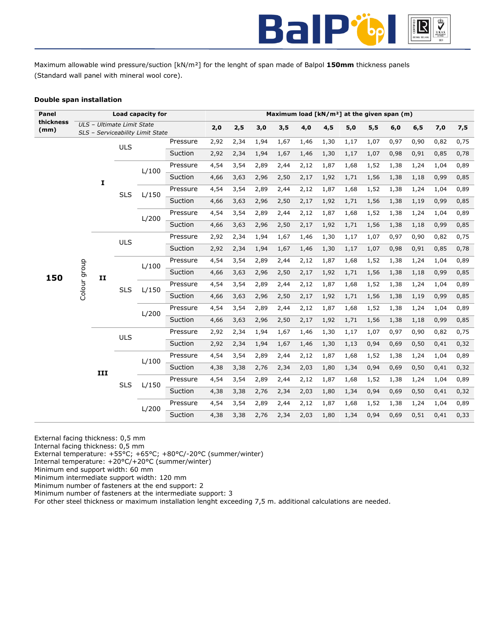

Maximum allowable wind pressure/suction [kN/m²] for the lenght of span made of Balpol **150mm** thickness panels (Standard wall panel with mineral wool core).

# **Double span installation**

| Panel             |  |                    |                            | Load capacity for                |          |      |      |      |      |      |      |       |      | Maximum load [kN/m <sup>2</sup> ] at the given span (m) |      |      |      |
|-------------------|--|--------------------|----------------------------|----------------------------------|----------|------|------|------|------|------|------|-------|------|---------------------------------------------------------|------|------|------|
| thickness<br>(mm) |  |                    | ULS - Ultimate Limit State |                                  |          | 2,0  | 2,5  | 3,0  | 3,5  | 4,0  | 4,5  | $5,0$ | 5,5  | 6,0                                                     | 6, 5 | 7,0  | 7,5  |
|                   |  |                    |                            | SLS - Serviceability Limit State |          |      |      |      |      |      |      |       |      |                                                         |      |      |      |
|                   |  |                    | <b>ULS</b>                 |                                  | Pressure | 2,92 | 2,34 | 1,94 | 1,67 | 1,46 | 1,30 | 1,17  | 1,07 | 0,97                                                    | 0,90 | 0,82 | 0,75 |
|                   |  |                    |                            |                                  | Suction  | 2,92 | 2,34 | 1,94 | 1,67 | 1,46 | 1,30 | 1,17  | 1,07 | 0,98                                                    | 0,91 | 0,85 | 0,78 |
|                   |  |                    |                            | L/100                            | Pressure | 4,54 | 3,54 | 2,89 | 2,44 | 2,12 | 1,87 | 1,68  | 1,52 | 1,38                                                    | 1,24 | 1,04 | 0,89 |
|                   |  | I                  |                            |                                  | Suction  | 4,66 | 3,63 | 2,96 | 2,50 | 2,17 | 1,92 | 1,71  | 1,56 | 1,38                                                    | 1,18 | 0,99 | 0,85 |
|                   |  |                    | <b>SLS</b>                 | L/150                            | Pressure | 4,54 | 3,54 | 2,89 | 2,44 | 2,12 | 1,87 | 1,68  | 1,52 | 1,38                                                    | 1,24 | 1,04 | 0,89 |
|                   |  |                    |                            |                                  | Suction  | 4,66 | 3,63 | 2,96 | 2,50 | 2,17 | 1,92 | 1,71  | 1,56 | 1,38                                                    | 1,19 | 0,99 | 0,85 |
|                   |  |                    |                            | L/200                            | Pressure | 4,54 | 3,54 | 2,89 | 2,44 | 2,12 | 1,87 | 1,68  | 1,52 | 1,38                                                    | 1,24 | 1,04 | 0,89 |
|                   |  |                    |                            |                                  | Suction  | 4,66 | 3,63 | 2,96 | 2,50 | 2,17 | 1,92 | 1,71  | 1,56 | 1,38                                                    | 1,18 | 0,99 | 0,85 |
|                   |  |                    | <b>ULS</b>                 |                                  | Pressure | 2,92 | 2,34 | 1,94 | 1,67 | 1,46 | 1,30 | 1,17  | 1,07 | 0,97                                                    | 0,90 | 0,82 | 0,75 |
|                   |  | Colour group<br>II |                            |                                  | Suction  | 2,92 | 2,34 | 1,94 | 1,67 | 1,46 | 1,30 | 1,17  | 1,07 | 0,98                                                    | 0,91 | 0,85 | 0,78 |
|                   |  |                    |                            | L/100                            | Pressure | 4,54 | 3,54 | 2,89 | 2,44 | 2,12 | 1,87 | 1,68  | 1,52 | 1,38                                                    | 1,24 | 1,04 | 0,89 |
| 150               |  |                    |                            |                                  | Suction  | 4,66 | 3,63 | 2,96 | 2,50 | 2,17 | 1,92 | 1,71  | 1,56 | 1,38                                                    | 1,18 | 0,99 | 0,85 |
|                   |  | <b>SLS</b>         | L/150                      | Pressure                         | 4,54     | 3,54 | 2,89 | 2,44 | 2,12 | 1,87 | 1,68 | 1,52  | 1,38 | 1,24                                                    | 1,04 | 0,89 |      |
|                   |  |                    |                            |                                  | Suction  | 4,66 | 3,63 | 2,96 | 2,50 | 2,17 | 1,92 | 1,71  | 1,56 | 1,38                                                    | 1,19 | 0,99 | 0,85 |
|                   |  |                    |                            | L/200                            | Pressure | 4,54 | 3,54 | 2,89 | 2,44 | 2,12 | 1,87 | 1,68  | 1,52 | 1,38                                                    | 1,24 | 1,04 | 0,89 |
|                   |  |                    |                            |                                  | Suction  | 4,66 | 3,63 | 2,96 | 2,50 | 2,17 | 1,92 | 1,71  | 1,56 | 1,38                                                    | 1,18 | 0,99 | 0,85 |
|                   |  |                    | <b>ULS</b>                 |                                  | Pressure | 2,92 | 2,34 | 1,94 | 1,67 | 1,46 | 1,30 | 1,17  | 1,07 | 0,97                                                    | 0,90 | 0,82 | 0,75 |
|                   |  |                    |                            |                                  | Suction  | 2,92 | 2,34 | 1,94 | 1,67 | 1,46 | 1,30 | 1,13  | 0,94 | 0,69                                                    | 0,50 | 0,41 | 0,32 |
|                   |  |                    |                            | L/100                            | Pressure | 4,54 | 3,54 | 2,89 | 2,44 | 2,12 | 1,87 | 1,68  | 1,52 | 1,38                                                    | 1,24 | 1,04 | 0,89 |
|                   |  |                    |                            |                                  | Suction  | 4,38 | 3,38 | 2,76 | 2,34 | 2,03 | 1,80 | 1,34  | 0,94 | 0,69                                                    | 0,50 | 0,41 | 0,32 |
|                   |  | III                | <b>SLS</b>                 | L/150                            | Pressure | 4,54 | 3,54 | 2,89 | 2,44 | 2,12 | 1,87 | 1,68  | 1,52 | 1,38                                                    | 1,24 | 1,04 | 0,89 |
|                   |  |                    |                            |                                  | Suction  | 4,38 | 3,38 | 2,76 | 2,34 | 2,03 | 1,80 | 1,34  | 0,94 | 0,69                                                    | 0,50 | 0,41 | 0,32 |
|                   |  |                    |                            | L/200                            | Pressure | 4,54 | 3,54 | 2,89 | 2,44 | 2,12 | 1,87 | 1,68  | 1,52 | 1,38                                                    | 1,24 | 1,04 | 0,89 |
|                   |  |                    |                            |                                  | Suction  | 4,38 | 3,38 | 2,76 | 2,34 | 2,03 | 1,80 | 1,34  | 0,94 | 0,69                                                    | 0,51 | 0,41 | 0,33 |

External facing thickness: 0,5 mm

Internal facing thickness: 0,5 mm

External temperature: +55°C; +65°C; +80°C/-20°C (summer/winter)

Internal temperature: +20°C/+20°C (summer/winter)

Minimum end support width: 60 mm

Minimum intermediate support width: 120 mm

Minimum number of fasteners at the end support: 2

Minimum number of fasteners at the intermediate support: 3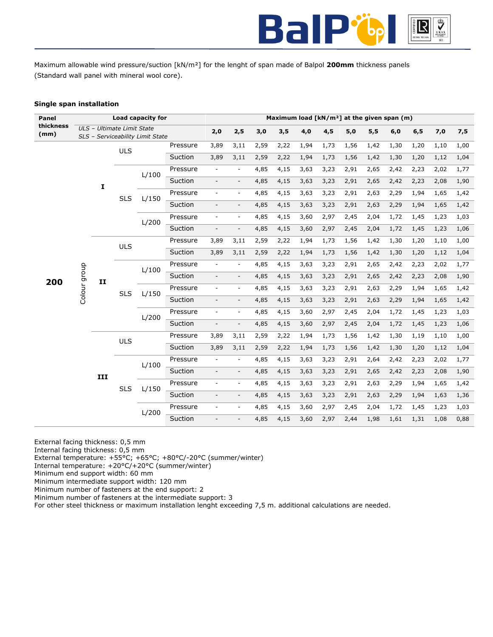

Maximum allowable wind pressure/suction [kN/m²] for the lenght of span made of Balpol **200mm** thickness panels (Standard wall panel with mineral wool core).

# **Single span installation**

| Panel             |                                     |     |                            | Load capacity for                |          |                          |                          |      |      | Maximum load [kN/m <sup>2</sup> ] at the given span (m) |      |      |      |      |      |      |      |
|-------------------|-------------------------------------|-----|----------------------------|----------------------------------|----------|--------------------------|--------------------------|------|------|---------------------------------------------------------|------|------|------|------|------|------|------|
| thickness<br>(mm) |                                     |     | ULS - Ultimate Limit State | SLS - Serviceability Limit State |          | 2,0                      | 2,5                      | 3,0  | 3,5  | 4,0                                                     | 4,5  | 5,0  | 5,5  | 6,0  | 6, 5 | 7,0  | 7,5  |
|                   |                                     |     |                            |                                  | Pressure | 3,89                     | 3,11                     | 2,59 | 2,22 | 1,94                                                    | 1,73 | 1,56 | 1,42 | 1,30 | 1,20 | 1,10 | 1,00 |
|                   |                                     |     | <b>ULS</b>                 |                                  | Suction  | 3,89                     | 3,11                     | 2,59 | 2,22 | 1,94                                                    | 1,73 | 1,56 | 1,42 | 1,30 | 1,20 | 1,12 | 1,04 |
|                   |                                     |     |                            | L/100                            | Pressure | $\overline{\phantom{a}}$ | $\overline{\phantom{a}}$ | 4,85 | 4,15 | 3,63                                                    | 3,23 | 2,91 | 2,65 | 2,42 | 2,23 | 2,02 | 1,77 |
|                   |                                     |     |                            |                                  | Suction  | $\overline{\phantom{a}}$ | $\overline{\phantom{a}}$ | 4,85 | 4,15 | 3,63                                                    | 3,23 | 2,91 | 2,65 | 2,42 | 2,23 | 2,08 | 1,90 |
|                   |                                     | I   | <b>SLS</b>                 | L/150                            | Pressure | $\overline{\phantom{a}}$ | $\overline{\phantom{a}}$ | 4,85 | 4,15 | 3,63                                                    | 3,23 | 2,91 | 2,63 | 2,29 | 1,94 | 1,65 | 1,42 |
|                   |                                     |     |                            |                                  | Suction  |                          | $\overline{\phantom{a}}$ | 4,85 | 4,15 | 3,63                                                    | 3,23 | 2,91 | 2,63 | 2,29 | 1,94 | 1,65 | 1,42 |
|                   |                                     |     |                            |                                  | Pressure | $\overline{\phantom{a}}$ | $\overline{\phantom{a}}$ | 4,85 | 4,15 | 3,60                                                    | 2,97 | 2,45 | 2,04 | 1,72 | 1,45 | 1,23 | 1,03 |
|                   |                                     |     |                            | L/200                            | Suction  | $\overline{\phantom{a}}$ | $\overline{\phantom{a}}$ | 4,85 | 4,15 | 3,60                                                    | 2,97 | 2,45 | 2,04 | 1,72 | 1,45 | 1,23 | 1,06 |
|                   |                                     |     | <b>ULS</b>                 |                                  | Pressure | 3,89                     | 3,11                     | 2,59 | 2,22 | 1,94                                                    | 1,73 | 1,56 | 1,42 | 1,30 | 1,20 | 1,10 | 1,00 |
|                   |                                     |     |                            |                                  | Suction  | 3,89                     | 3,11                     | 2,59 | 2,22 | 1,94                                                    | 1,73 | 1,56 | 1,42 | 1,30 | 1,20 | 1,12 | 1,04 |
|                   | Colour group<br>200<br>$\mathbf{I}$ |     |                            | L/100                            | Pressure | $\overline{\phantom{a}}$ | $\overline{\phantom{a}}$ | 4,85 | 4,15 | 3,63                                                    | 3,23 | 2,91 | 2,65 | 2,42 | 2,23 | 2,02 | 1,77 |
|                   |                                     |     |                            |                                  | Suction  | $\overline{\phantom{a}}$ | $\overline{\phantom{a}}$ | 4,85 | 4,15 | 3,63                                                    | 3,23 | 2,91 | 2,65 | 2,42 | 2,23 | 2,08 | 1,90 |
|                   |                                     |     | <b>SLS</b>                 | L/150                            | Pressure |                          | $\overline{\phantom{a}}$ | 4,85 | 4,15 | 3,63                                                    | 3,23 | 2,91 | 2,63 | 2,29 | 1,94 | 1,65 | 1,42 |
|                   |                                     |     |                            |                                  | Suction  | $\overline{\phantom{a}}$ | $\overline{\phantom{a}}$ | 4,85 | 4,15 | 3,63                                                    | 3,23 | 2,91 | 2,63 | 2,29 | 1,94 | 1,65 | 1,42 |
|                   |                                     |     |                            | L/200                            | Pressure | $\overline{\phantom{a}}$ | $\overline{\phantom{a}}$ | 4,85 | 4,15 | 3,60                                                    | 2,97 | 2,45 | 2,04 | 1,72 | 1,45 | 1,23 | 1,03 |
|                   |                                     |     |                            |                                  | Suction  | $\overline{\phantom{a}}$ | $\overline{\phantom{a}}$ | 4,85 | 4,15 | 3,60                                                    | 2,97 | 2,45 | 2,04 | 1,72 | 1,45 | 1,23 | 1,06 |
|                   |                                     |     | <b>ULS</b>                 |                                  | Pressure | 3,89                     | 3,11                     | 2,59 | 2,22 | 1,94                                                    | 1,73 | 1,56 | 1,42 | 1,30 | 1,19 | 1,10 | 1,00 |
|                   |                                     |     |                            |                                  | Suction  | 3,89                     | 3,11                     | 2,59 | 2,22 | 1,94                                                    | 1,73 | 1,56 | 1,42 | 1,30 | 1,20 | 1,12 | 1,04 |
|                   |                                     |     |                            | L/100                            | Pressure | $\overline{\phantom{a}}$ |                          | 4,85 | 4,15 | 3,63                                                    | 3,23 | 2,91 | 2,64 | 2,42 | 2,23 | 2,02 | 1,77 |
|                   |                                     | III |                            |                                  | Suction  | $\blacksquare$           | $\overline{\phantom{a}}$ | 4,85 | 4,15 | 3,63                                                    | 3,23 | 2,91 | 2,65 | 2,42 | 2,23 | 2,08 | 1,90 |
|                   |                                     |     | <b>SLS</b>                 | L/150                            | Pressure | $\overline{\phantom{a}}$ | $\overline{\phantom{a}}$ | 4,85 | 4,15 | 3,63                                                    | 3,23 | 2,91 | 2,63 | 2,29 | 1,94 | 1,65 | 1,42 |
|                   |                                     |     |                            |                                  | Suction  | $\overline{\phantom{a}}$ | $\overline{\phantom{a}}$ | 4,85 | 4,15 | 3,63                                                    | 3,23 | 2,91 | 2,63 | 2,29 | 1,94 | 1,63 | 1,36 |
|                   |                                     |     |                            | L/200                            | Pressure | $\overline{\phantom{a}}$ | $\overline{\phantom{a}}$ | 4,85 | 4,15 | 3,60                                                    | 2,97 | 2,45 | 2,04 | 1,72 | 1,45 | 1,23 | 1,03 |
|                   |                                     |     |                            |                                  | Suction  | $\overline{\phantom{a}}$ |                          | 4,85 | 4,15 | 3,60                                                    | 2,97 | 2,44 | 1,98 | 1,61 | 1,31 | 1,08 | 0,88 |

External facing thickness: 0,5 mm

Internal facing thickness: 0,5 mm

External temperature: +55°C; +65°C; +80°C/-20°C (summer/winter)

Internal temperature: +20°C/+20°C (summer/winter)

Minimum end support width: 60 mm

Minimum intermediate support width: 120 mm Minimum number of fasteners at the end support: 2

Minimum number of fasteners at the intermediate support: 3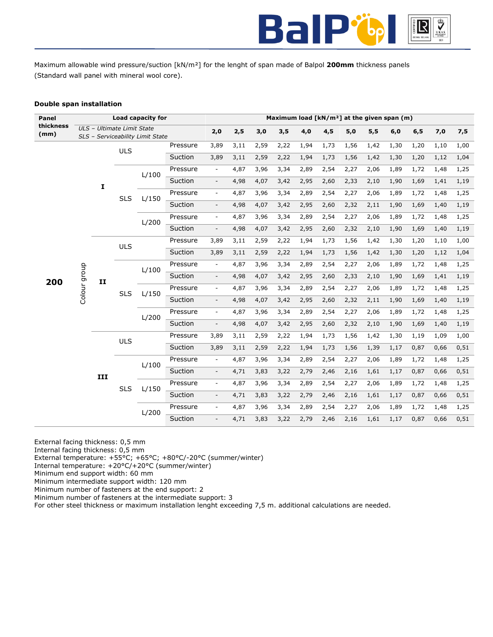

Maximum allowable wind pressure/suction [kN/m²] for the lenght of span made of Balpol **200mm** thickness panels (Standard wall panel with mineral wool core).

# **Double span installation**

| Panel             |                    |     |                            | Load capacity for                |                |                          |      |      |      | Maximum load [kN/m <sup>2</sup> ] at the given span (m) |      |      |      |      |      |      |      |
|-------------------|--------------------|-----|----------------------------|----------------------------------|----------------|--------------------------|------|------|------|---------------------------------------------------------|------|------|------|------|------|------|------|
| thickness<br>(mm) |                    |     | ULS - Ultimate Limit State | SLS - Serviceability Limit State |                | 2,0                      | 2,5  | 3,0  | 3,5  | 4,0                                                     | 4,5  | 5,0  | 5,5  | 6,0  | 6, 5 | 7,0  | 7,5  |
|                   |                    |     |                            |                                  | Pressure       | 3,89                     | 3,11 | 2,59 | 2,22 | 1,94                                                    | 1,73 | 1,56 | 1,42 | 1,30 | 1,20 | 1,10 | 1,00 |
|                   |                    |     | <b>ULS</b>                 |                                  | Suction        | 3,89                     | 3,11 | 2,59 | 2,22 | 1,94                                                    | 1,73 | 1,56 | 1,42 | 1,30 | 1,20 | 1,12 | 1,04 |
|                   |                    |     |                            |                                  | Pressure       | $\overline{\phantom{a}}$ | 4,87 | 3,96 | 3,34 | 2,89                                                    | 2,54 | 2,27 | 2,06 | 1,89 | 1,72 | 1,48 | 1,25 |
|                   |                    |     |                            | L/100                            | Suction        | $\overline{\phantom{a}}$ | 4,98 | 4,07 | 3,42 | 2,95                                                    | 2,60 | 2,33 | 2,10 | 1,90 | 1,69 | 1,41 | 1,19 |
|                   |                    | I   |                            |                                  | Pressure       | $\overline{\phantom{a}}$ | 4,87 | 3,96 | 3,34 | 2,89                                                    | 2,54 | 2,27 | 2,06 | 1,89 | 1,72 | 1,48 | 1,25 |
|                   |                    |     | <b>SLS</b>                 | L/150                            | Suction        | $\overline{\phantom{a}}$ | 4,98 | 4,07 | 3,42 | 2,95                                                    | 2,60 | 2,32 | 2,11 | 1,90 | 1,69 | 1,40 | 1,19 |
|                   |                    |     |                            |                                  |                | $\overline{\phantom{a}}$ |      |      | 3,34 | 2,89                                                    | 2,54 | 2,27 |      | 1,89 |      |      |      |
|                   |                    |     |                            | L/200                            | Pressure       |                          | 4,87 | 3,96 |      |                                                         |      |      | 2,06 |      | 1,72 | 1,48 | 1,25 |
|                   |                    |     |                            |                                  | Suction        | $\overline{\phantom{a}}$ | 4,98 | 4,07 | 3,42 | 2,95                                                    | 2,60 | 2,32 | 2,10 | 1,90 | 1,69 | 1,40 | 1,19 |
|                   |                    |     | <b>ULS</b>                 |                                  | Pressure       | 3,89                     | 3,11 | 2,59 | 2,22 | 1,94                                                    | 1,73 | 1,56 | 1,42 | 1,30 | 1,20 | 1,10 | 1,00 |
|                   |                    |     |                            |                                  | Suction        | 3,89                     | 3,11 | 2,59 | 2,22 | 1,94                                                    | 1,73 | 1,56 | 1,42 | 1,30 | 1,20 | 1,12 | 1,04 |
|                   | Colour group<br>II |     | L/100                      | Pressure                         | $\blacksquare$ | 4,87                     | 3,96 | 3,34 | 2,89 | 2,54                                                    | 2,27 | 2,06 | 1,89 | 1,72 | 1,48 | 1,25 |      |
| 200               |                    |     |                            |                                  | Suction        | $\overline{\phantom{a}}$ | 4,98 | 4,07 | 3,42 | 2,95                                                    | 2,60 | 2,33 | 2,10 | 1,90 | 1,69 | 1,41 | 1,19 |
|                   |                    |     | <b>SLS</b>                 | L/150                            | Pressure       | $\blacksquare$           | 4,87 | 3,96 | 3,34 | 2,89                                                    | 2,54 | 2,27 | 2,06 | 1,89 | 1,72 | 1,48 | 1,25 |
|                   |                    |     |                            |                                  | Suction        | $\bar{\phantom{a}}$      | 4,98 | 4,07 | 3,42 | 2,95                                                    | 2,60 | 2,32 | 2,11 | 1,90 | 1,69 | 1,40 | 1,19 |
|                   |                    |     |                            | L/200                            | Pressure       | $\equiv$                 | 4,87 | 3,96 | 3,34 | 2,89                                                    | 2,54 | 2,27 | 2,06 | 1,89 | 1,72 | 1,48 | 1,25 |
|                   |                    |     |                            |                                  | Suction        | $\overline{\phantom{a}}$ | 4,98 | 4,07 | 3,42 | 2,95                                                    | 2,60 | 2,32 | 2,10 | 1,90 | 1,69 | 1,40 | 1,19 |
|                   |                    |     | <b>ULS</b>                 |                                  | Pressure       | 3,89                     | 3,11 | 2,59 | 2,22 | 1,94                                                    | 1,73 | 1,56 | 1,42 | 1,30 | 1,19 | 1,09 | 1,00 |
|                   |                    |     |                            |                                  | Suction        | 3,89                     | 3,11 | 2,59 | 2,22 | 1,94                                                    | 1,73 | 1,56 | 1,39 | 1,17 | 0,87 | 0,66 | 0,51 |
|                   |                    |     |                            | L/100                            | Pressure       | $\overline{\phantom{a}}$ | 4,87 | 3,96 | 3,34 | 2,89                                                    | 2,54 | 2,27 | 2,06 | 1,89 | 1,72 | 1,48 | 1,25 |
|                   |                    | III |                            |                                  | Suction        | $\overline{\phantom{a}}$ | 4,71 | 3,83 | 3,22 | 2,79                                                    | 2,46 | 2,16 | 1,61 | 1,17 | 0,87 | 0,66 | 0,51 |
|                   |                    |     |                            |                                  | Pressure       | $\overline{\phantom{a}}$ | 4,87 | 3,96 | 3,34 | 2,89                                                    | 2,54 | 2,27 | 2,06 | 1,89 | 1,72 | 1,48 | 1,25 |
|                   |                    |     | <b>SLS</b>                 | L/150                            | Suction        | $\overline{\phantom{a}}$ | 4,71 | 3,83 | 3,22 | 2,79                                                    | 2,46 | 2,16 | 1,61 | 1,17 | 0,87 | 0,66 | 0,51 |
|                   |                    |     |                            |                                  | Pressure       | $\blacksquare$           | 4,87 | 3,96 | 3,34 | 2,89                                                    | 2,54 | 2,27 | 2,06 | 1,89 | 1,72 | 1,48 | 1,25 |
|                   |                    |     |                            | L/200                            | Suction        | $\overline{\phantom{a}}$ | 4,71 | 3,83 | 3,22 | 2,79                                                    | 2,46 | 2,16 | 1,61 | 1,17 | 0,87 | 0,66 | 0,51 |

External facing thickness: 0,5 mm

Internal facing thickness: 0,5 mm

External temperature: +55°C; +65°C; +80°C/-20°C (summer/winter)

Internal temperature: +20°C/+20°C (summer/winter)

Minimum end support width: 60 mm

Minimum intermediate support width: 120 mm

Minimum number of fasteners at the end support: 2

Minimum number of fasteners at the intermediate support: 3 For other steel thickness or maximum installation lenght exceeding 7,5 m. additional calculations are needed.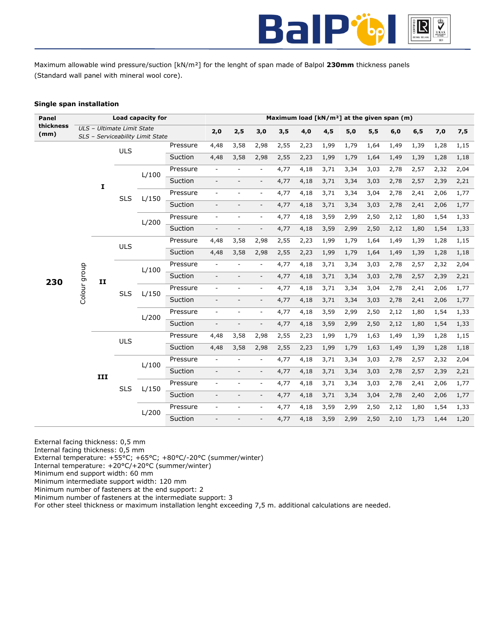

Maximum allowable wind pressure/suction [kN/m²] for the lenght of span made of Balpol **230mm** thickness panels (Standard wall panel with mineral wool core).

# **Single span installation**

| Panel             | Load capacity for          |              |                                  |       |          | Maximum load [kN/m <sup>2</sup> ] at the given span (m) |                          |                          |      |      |      |      |      |      |      |      |      |
|-------------------|----------------------------|--------------|----------------------------------|-------|----------|---------------------------------------------------------|--------------------------|--------------------------|------|------|------|------|------|------|------|------|------|
| thickness<br>(mm) | ULS - Ultimate Limit State |              |                                  |       |          | 2,0                                                     | 2,5                      | 3,0                      | 3,5  | 4,0  | 4,5  | 5,0  | 5,5  | 6,0  | 6, 5 | 7,0  | 7,5  |
|                   |                            |              | SLS - Serviceability Limit State |       |          | 4,48                                                    | 3,58                     | 2,98                     | 2,55 | 2,23 | 1,99 | 1,79 | 1,64 | 1,49 | 1,39 | 1,28 | 1,15 |
| 230               |                            |              | <b>ULS</b>                       |       | Pressure |                                                         |                          |                          |      |      |      |      |      |      |      |      |      |
|                   |                            |              |                                  |       | Suction  | 4,48                                                    | 3,58                     | 2,98                     | 2,55 | 2,23 | 1,99 | 1,79 | 1,64 | 1,49 | 1,39 | 1,28 | 1,18 |
|                   |                            | $\mathbf{I}$ | <b>SLS</b>                       | L/100 | Pressure | $\overline{\phantom{a}}$                                |                          | ÷,                       | 4,77 | 4,18 | 3,71 | 3,34 | 3,03 | 2,78 | 2,57 | 2,32 | 2,04 |
|                   |                            |              |                                  |       | Suction  | $\overline{\phantom{a}}$                                | $\overline{\phantom{a}}$ | $\overline{\phantom{a}}$ | 4,77 | 4,18 | 3,71 | 3,34 | 3,03 | 2,78 | 2,57 | 2,39 | 2,21 |
|                   |                            |              |                                  | L/150 | Pressure | $\overline{\phantom{a}}$                                |                          | ÷,                       | 4,77 | 4,18 | 3,71 | 3,34 | 3,04 | 2,78 | 2,41 | 2,06 | 1,77 |
|                   |                            |              |                                  |       | Suction  |                                                         |                          | $\overline{\phantom{a}}$ | 4,77 | 4,18 | 3,71 | 3,34 | 3,03 | 2,78 | 2,41 | 2,06 | 1,77 |
|                   |                            |              |                                  | L/200 | Pressure | $\overline{\phantom{a}}$                                | $\overline{\phantom{a}}$ | $\overline{\phantom{a}}$ | 4,77 | 4,18 | 3,59 | 2,99 | 2,50 | 2,12 | 1,80 | 1,54 | 1,33 |
|                   |                            |              |                                  |       | Suction  | $\overline{\phantom{a}}$                                | $\overline{\phantom{a}}$ | $\overline{\phantom{a}}$ | 4,77 | 4,18 | 3,59 | 2,99 | 2,50 | 2,12 | 1,80 | 1,54 | 1,33 |
|                   |                            | II           | <b>ULS</b>                       |       | Pressure | 4,48                                                    | 3,58                     | 2,98                     | 2,55 | 2,23 | 1,99 | 1,79 | 1,64 | 1,49 | 1,39 | 1,28 | 1,15 |
|                   |                            |              |                                  |       | Suction  | 4,48                                                    | 3,58                     | 2,98                     | 2,55 | 2,23 | 1,99 | 1,79 | 1,64 | 1,49 | 1,39 | 1,28 | 1,18 |
|                   |                            |              | <b>SLS</b>                       | L/100 | Pressure | $\overline{\phantom{a}}$                                | $\overline{\phantom{a}}$ | $\overline{\phantom{a}}$ | 4,77 | 4,18 | 3,71 | 3,34 | 3,03 | 2,78 | 2,57 | 2,32 | 2,04 |
|                   | Colour group               |              |                                  |       | Suction  | $\overline{\phantom{a}}$                                |                          | $\overline{\phantom{a}}$ | 4,77 | 4,18 | 3,71 | 3,34 | 3,03 | 2,78 | 2,57 | 2,39 | 2,21 |
|                   |                            |              |                                  | L/150 | Pressure | $\overline{\phantom{a}}$                                |                          | $\overline{\phantom{a}}$ | 4,77 | 4,18 | 3,71 | 3,34 | 3,04 | 2,78 | 2,41 | 2,06 | 1,77 |
|                   |                            |              |                                  |       | Suction  |                                                         |                          |                          | 4,77 | 4,18 | 3,71 | 3,34 | 3,03 | 2,78 | 2,41 | 2,06 | 1,77 |
|                   |                            |              |                                  | L/200 | Pressure | $\overline{\phantom{a}}$                                | $\overline{\phantom{a}}$ | $\overline{\phantom{a}}$ | 4,77 | 4,18 | 3,59 | 2,99 | 2,50 | 2,12 | 1,80 | 1,54 | 1,33 |
|                   |                            |              |                                  |       | Suction  | $\overline{\phantom{a}}$                                |                          | $\overline{\phantom{a}}$ | 4,77 | 4,18 | 3,59 | 2,99 | 2,50 | 2,12 | 1,80 | 1,54 | 1,33 |
|                   |                            |              | <b>ULS</b>                       |       | Pressure | 4,48                                                    | 3,58                     | 2,98                     | 2,55 | 2,23 | 1,99 | 1,79 | 1,63 | 1,49 | 1,39 | 1,28 | 1,15 |
|                   |                            |              |                                  |       | Suction  | 4,48                                                    | 3,58                     | 2,98                     | 2,55 | 2,23 | 1,99 | 1,79 | 1,63 | 1,49 | 1,39 | 1,28 | 1,18 |
|                   |                            | III          | <b>SLS</b>                       | L/100 | Pressure | $\overline{\phantom{a}}$                                |                          | $\overline{\phantom{a}}$ | 4,77 | 4,18 | 3,71 | 3,34 | 3,03 | 2,78 | 2,57 | 2,32 | 2,04 |
|                   |                            |              |                                  |       | Suction  | $\overline{\phantom{a}}$                                |                          | $\overline{\phantom{a}}$ | 4,77 | 4,18 | 3,71 | 3,34 | 3,03 | 2,78 | 2,57 | 2,39 | 2,21 |
|                   |                            |              |                                  | L/150 | Pressure |                                                         |                          | $\overline{\phantom{a}}$ | 4,77 | 4,18 | 3,71 | 3,34 | 3,03 | 2,78 | 2,41 | 2,06 | 1,77 |
|                   |                            |              |                                  |       | Suction  | $\overline{\phantom{a}}$                                | $\overline{\phantom{a}}$ | $\overline{\phantom{a}}$ | 4,77 | 4,18 | 3,71 | 3,34 | 3,04 | 2,78 | 2,40 | 2,06 | 1,77 |
|                   |                            |              |                                  | L/200 | Pressure | $\overline{\phantom{a}}$                                | ۰                        | $\overline{\phantom{a}}$ | 4,77 | 4,18 | 3,59 | 2,99 | 2,50 | 2,12 | 1,80 | 1,54 | 1,33 |
|                   |                            |              |                                  |       | Suction  | $\overline{\phantom{0}}$                                |                          | $\overline{\phantom{a}}$ | 4,77 | 4,18 | 3,59 | 2,99 | 2,50 | 2,10 | 1,73 | 1,44 | 1,20 |

External facing thickness: 0,5 mm

Internal facing thickness: 0,5 mm

External temperature: +55°C; +65°C; +80°C/-20°C (summer/winter)

Internal temperature: +20°C/+20°C (summer/winter)

Minimum end support width: 60 mm

Minimum intermediate support width: 120 mm

Minimum number of fasteners at the end support: 2

Minimum number of fasteners at the intermediate support: 3